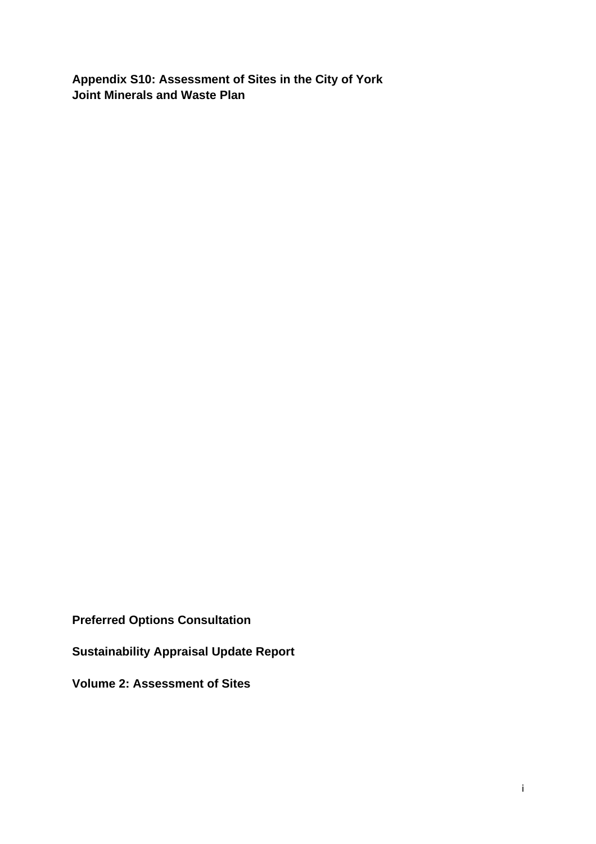**Appendix S10: Assessment of Sites in the City of York Joint Minerals and Waste Plan** 

**Preferred Options Consultation** 

**Sustainability Appraisal Update Report** 

**Volume 2: Assessment of Sites**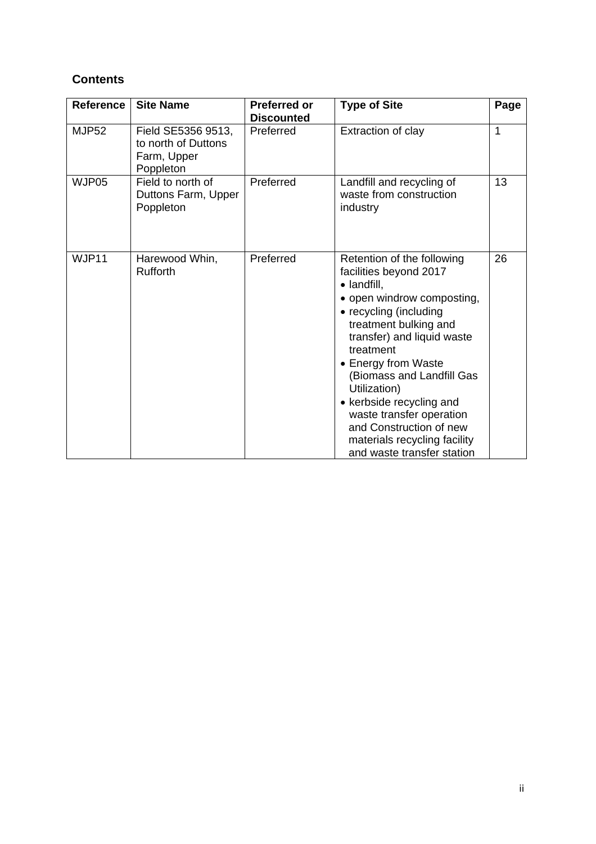# **Contents**

| Reference    | <b>Site Name</b>                                                      | <b>Preferred or</b><br><b>Discounted</b> | <b>Type of Site</b>                                                                                                                                                                                                                                                                                                                                                                                                  | Page |
|--------------|-----------------------------------------------------------------------|------------------------------------------|----------------------------------------------------------------------------------------------------------------------------------------------------------------------------------------------------------------------------------------------------------------------------------------------------------------------------------------------------------------------------------------------------------------------|------|
| <b>MJP52</b> | Field SE5356 9513,<br>to north of Duttons<br>Farm, Upper<br>Poppleton | Preferred                                | Extraction of clay                                                                                                                                                                                                                                                                                                                                                                                                   | 1    |
| WJP05        | Field to north of<br>Duttons Farm, Upper<br>Poppleton                 | Preferred                                | Landfill and recycling of<br>waste from construction<br>industry                                                                                                                                                                                                                                                                                                                                                     | 13   |
| WJP11        | Harewood Whin,<br><b>Rufforth</b>                                     | Preferred                                | Retention of the following<br>facilities beyond 2017<br>· landfill,<br>• open windrow composting,<br>• recycling (including<br>treatment bulking and<br>transfer) and liquid waste<br>treatment<br>• Energy from Waste<br>(Biomass and Landfill Gas<br>Utilization)<br>• kerbside recycling and<br>waste transfer operation<br>and Construction of new<br>materials recycling facility<br>and waste transfer station | 26   |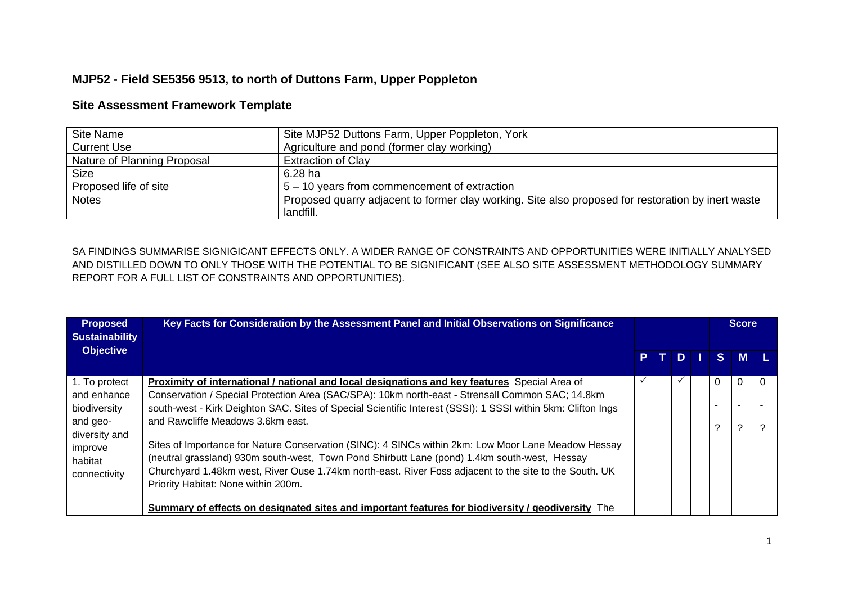## **MJP52 - Field SE5356 9513, to north of Duttons Farm, Upper Poppleton**

#### **Site Assessment Framework Template**

| Site Name                   | Site MJP52 Duttons Farm, Upper Poppleton, York                                                     |
|-----------------------------|----------------------------------------------------------------------------------------------------|
| <b>Current Use</b>          | Agriculture and pond (former clay working)                                                         |
| Nature of Planning Proposal | <b>Extraction of Clay</b>                                                                          |
| <b>Size</b>                 | $6.28$ ha                                                                                          |
| Proposed life of site       | 5 – 10 years from commencement of extraction                                                       |
| <b>Notes</b>                | Proposed quarry adjacent to former clay working. Site also proposed for restoration by inert waste |
|                             | landfill.                                                                                          |

SA FINDINGS SUMMARISE SIGNIGICANT EFFECTS ONLY. A WIDER RANGE OF CONSTRAINTS AND OPPORTUNITIES WERE INITIALLY ANALYSED AND DISTILLED DOWN TO ONLY THOSE WITH THE POTENTIAL TO BE SIGNIFICANT (SEE ALSO SITE ASSESSMENT METHODOLOGY SUMMARY REPORT FOR A FULL LIST OF CONSTRAINTS AND OPPORTUNITIES).

| <b>Proposed</b><br><b>Sustainability</b>            | Key Facts for Consideration by the Assessment Panel and Initial Observations on Significance                                                                                                                                                                                                                                                         |  |      |  | <b>Score</b>             |       |   |
|-----------------------------------------------------|------------------------------------------------------------------------------------------------------------------------------------------------------------------------------------------------------------------------------------------------------------------------------------------------------------------------------------------------------|--|------|--|--------------------------|-------|---|
| <b>Objective</b>                                    |                                                                                                                                                                                                                                                                                                                                                      |  | PTDI |  |                          | S M L |   |
| 1. To protect                                       | <b>Proximity of international / national and local designations and key features</b> Special Area of                                                                                                                                                                                                                                                 |  |      |  |                          |       |   |
| and enhance                                         | Conservation / Special Protection Area (SAC/SPA): 10km north-east - Strensall Common SAC; 14.8km                                                                                                                                                                                                                                                     |  |      |  |                          |       |   |
| biodiversity                                        | south-west - Kirk Deighton SAC. Sites of Special Scientific Interest (SSSI): 1 SSSI within 5km: Clifton Ings                                                                                                                                                                                                                                         |  |      |  | $\overline{\phantom{0}}$ |       |   |
| and geo-                                            | and Rawcliffe Meadows 3.6km east.                                                                                                                                                                                                                                                                                                                    |  |      |  | ⌒                        | າ     | ? |
| diversity and<br>improve<br>habitat<br>connectivity | Sites of Importance for Nature Conservation (SINC): 4 SINCs within 2km: Low Moor Lane Meadow Hessay<br>(neutral grassland) 930m south-west, Town Pond Shirbutt Lane (pond) 1.4km south-west, Hessay<br>Churchyard 1.48km west, River Ouse 1.74km north-east. River Foss adjacent to the site to the South. UK<br>Priority Habitat: None within 200m. |  |      |  |                          |       |   |
|                                                     | Summary of effects on designated sites and important features for biodiversity / geodiversity The                                                                                                                                                                                                                                                    |  |      |  |                          |       |   |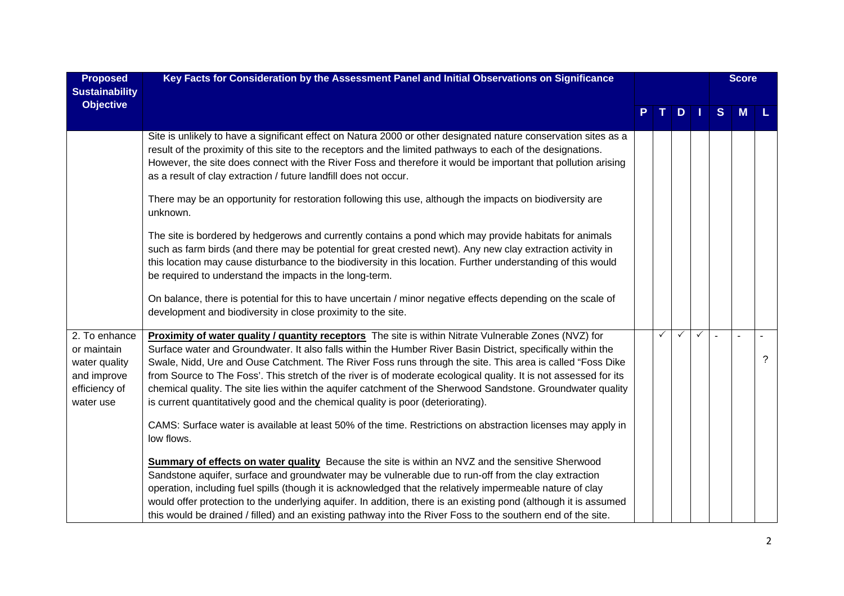| <b>Proposed</b><br><b>Sustainability</b>                                                   | Key Facts for Consideration by the Assessment Panel and Initial Observations on Significance                                                                                                                                                                                                                                                                                                                                                                                                                                                                                                                                                               |  |   |                  |              |   |   |          | <b>Score</b> |  |
|--------------------------------------------------------------------------------------------|------------------------------------------------------------------------------------------------------------------------------------------------------------------------------------------------------------------------------------------------------------------------------------------------------------------------------------------------------------------------------------------------------------------------------------------------------------------------------------------------------------------------------------------------------------------------------------------------------------------------------------------------------------|--|---|------------------|--------------|---|---|----------|--------------|--|
| <b>Objective</b>                                                                           |                                                                                                                                                                                                                                                                                                                                                                                                                                                                                                                                                                                                                                                            |  |   | $P$ $T$ $D$ $  $ |              | S | M |          |              |  |
|                                                                                            | Site is unlikely to have a significant effect on Natura 2000 or other designated nature conservation sites as a<br>result of the proximity of this site to the receptors and the limited pathways to each of the designations.<br>However, the site does connect with the River Foss and therefore it would be important that pollution arising<br>as a result of clay extraction / future landfill does not occur.                                                                                                                                                                                                                                        |  |   |                  |              |   |   |          |              |  |
|                                                                                            | There may be an opportunity for restoration following this use, although the impacts on biodiversity are<br>unknown.                                                                                                                                                                                                                                                                                                                                                                                                                                                                                                                                       |  |   |                  |              |   |   |          |              |  |
|                                                                                            | The site is bordered by hedgerows and currently contains a pond which may provide habitats for animals<br>such as farm birds (and there may be potential for great crested newt). Any new clay extraction activity in<br>this location may cause disturbance to the biodiversity in this location. Further understanding of this would<br>be required to understand the impacts in the long-term.                                                                                                                                                                                                                                                          |  |   |                  |              |   |   |          |              |  |
|                                                                                            | On balance, there is potential for this to have uncertain / minor negative effects depending on the scale of<br>development and biodiversity in close proximity to the site.                                                                                                                                                                                                                                                                                                                                                                                                                                                                               |  |   |                  |              |   |   |          |              |  |
| 2. To enhance<br>or maintain<br>water quality<br>and improve<br>efficiency of<br>water use | Proximity of water quality / quantity receptors The site is within Nitrate Vulnerable Zones (NVZ) for<br>Surface water and Groundwater. It also falls within the Humber River Basin District, specifically within the<br>Swale, Nidd, Ure and Ouse Catchment. The River Foss runs through the site. This area is called "Foss Dike<br>from Source to The Foss'. This stretch of the river is of moderate ecological quality. It is not assessed for its<br>chemical quality. The site lies within the aquifer catchment of the Sherwood Sandstone. Groundwater quality<br>is current quantitatively good and the chemical quality is poor (deteriorating). |  | ✓ | ✓                | $\checkmark$ |   |   | $\gamma$ |              |  |
|                                                                                            | CAMS: Surface water is available at least 50% of the time. Restrictions on abstraction licenses may apply in<br>low flows.                                                                                                                                                                                                                                                                                                                                                                                                                                                                                                                                 |  |   |                  |              |   |   |          |              |  |
|                                                                                            | Summary of effects on water quality Because the site is within an NVZ and the sensitive Sherwood<br>Sandstone aquifer, surface and groundwater may be vulnerable due to run-off from the clay extraction<br>operation, including fuel spills (though it is acknowledged that the relatively impermeable nature of clay<br>would offer protection to the underlying aquifer. In addition, there is an existing pond (although it is assumed<br>this would be drained / filled) and an existing pathway into the River Foss to the southern end of the site.                                                                                                 |  |   |                  |              |   |   |          |              |  |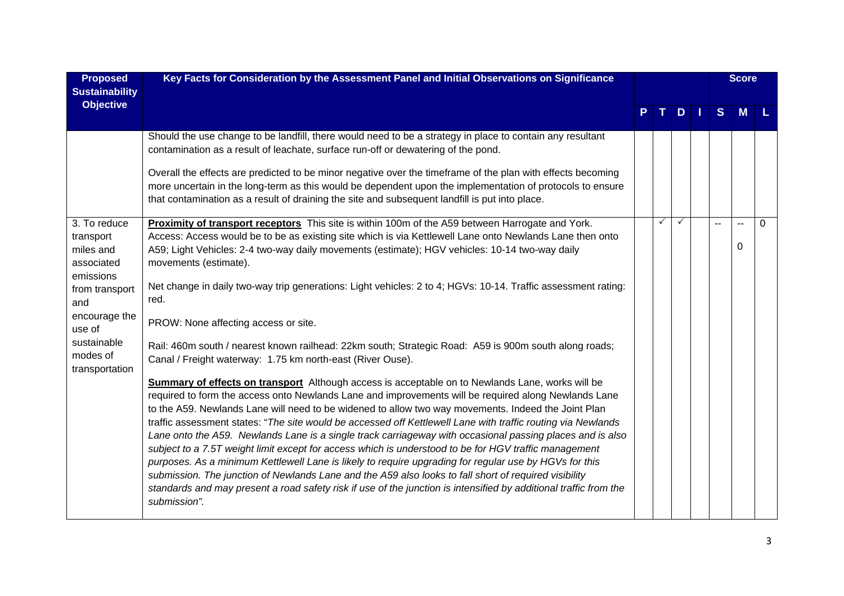| <b>Proposed</b><br><b>Sustainability</b>                          | Key Facts for Consideration by the Assessment Panel and Initial Observations on Significance                                                                                                                                                                                                                                                                                                                                                                                                                                                                                                                                                                                                                                                                                                                                                                                                                                                                                                                         |  |   |    |    |   |          |          |  |  |  | <b>Score</b> |  |
|-------------------------------------------------------------------|----------------------------------------------------------------------------------------------------------------------------------------------------------------------------------------------------------------------------------------------------------------------------------------------------------------------------------------------------------------------------------------------------------------------------------------------------------------------------------------------------------------------------------------------------------------------------------------------------------------------------------------------------------------------------------------------------------------------------------------------------------------------------------------------------------------------------------------------------------------------------------------------------------------------------------------------------------------------------------------------------------------------|--|---|----|----|---|----------|----------|--|--|--|--------------|--|
| <b>Objective</b>                                                  |                                                                                                                                                                                                                                                                                                                                                                                                                                                                                                                                                                                                                                                                                                                                                                                                                                                                                                                                                                                                                      |  |   | D. | H. | S | M        |          |  |  |  |              |  |
|                                                                   | Should the use change to be landfill, there would need to be a strategy in place to contain any resultant<br>contamination as a result of leachate, surface run-off or dewatering of the pond.                                                                                                                                                                                                                                                                                                                                                                                                                                                                                                                                                                                                                                                                                                                                                                                                                       |  |   |    |    |   |          |          |  |  |  |              |  |
|                                                                   | Overall the effects are predicted to be minor negative over the timeframe of the plan with effects becoming<br>more uncertain in the long-term as this would be dependent upon the implementation of protocols to ensure<br>that contamination as a result of draining the site and subsequent landfill is put into place.                                                                                                                                                                                                                                                                                                                                                                                                                                                                                                                                                                                                                                                                                           |  |   |    |    |   |          |          |  |  |  |              |  |
| 3. To reduce<br>transport<br>miles and<br>associated<br>emissions | Proximity of transport receptors This site is within 100m of the A59 between Harrogate and York.<br>Access: Access would be to be as existing site which is via Kettlewell Lane onto Newlands Lane then onto<br>A59; Light Vehicles: 2-4 two-way daily movements (estimate); HGV vehicles: 10-14 two-way daily<br>movements (estimate).                                                                                                                                                                                                                                                                                                                                                                                                                                                                                                                                                                                                                                                                              |  | ✓ |    |    |   | $\Omega$ | $\Omega$ |  |  |  |              |  |
| from transport<br>and                                             | Net change in daily two-way trip generations: Light vehicles: 2 to 4; HGVs: 10-14. Traffic assessment rating:<br>red.                                                                                                                                                                                                                                                                                                                                                                                                                                                                                                                                                                                                                                                                                                                                                                                                                                                                                                |  |   |    |    |   |          |          |  |  |  |              |  |
| encourage the<br>use of                                           | PROW: None affecting access or site.                                                                                                                                                                                                                                                                                                                                                                                                                                                                                                                                                                                                                                                                                                                                                                                                                                                                                                                                                                                 |  |   |    |    |   |          |          |  |  |  |              |  |
| sustainable<br>modes of<br>transportation                         | Rail: 460m south / nearest known railhead: 22km south; Strategic Road: A59 is 900m south along roads;<br>Canal / Freight waterway: 1.75 km north-east (River Ouse).                                                                                                                                                                                                                                                                                                                                                                                                                                                                                                                                                                                                                                                                                                                                                                                                                                                  |  |   |    |    |   |          |          |  |  |  |              |  |
|                                                                   | <b>Summary of effects on transport</b> Although access is acceptable on to Newlands Lane, works will be<br>required to form the access onto Newlands Lane and improvements will be required along Newlands Lane<br>to the A59. Newlands Lane will need to be widened to allow two way movements. Indeed the Joint Plan<br>traffic assessment states: "The site would be accessed off Kettlewell Lane with traffic routing via Newlands<br>Lane onto the A59. Newlands Lane is a single track carriageway with occasional passing places and is also<br>subject to a 7.5T weight limit except for access which is understood to be for HGV traffic management<br>purposes. As a minimum Kettlewell Lane is likely to require upgrading for regular use by HGVs for this<br>submission. The junction of Newlands Lane and the A59 also looks to fall short of required visibility<br>standards and may present a road safety risk if use of the junction is intensified by additional traffic from the<br>submission". |  |   |    |    |   |          |          |  |  |  |              |  |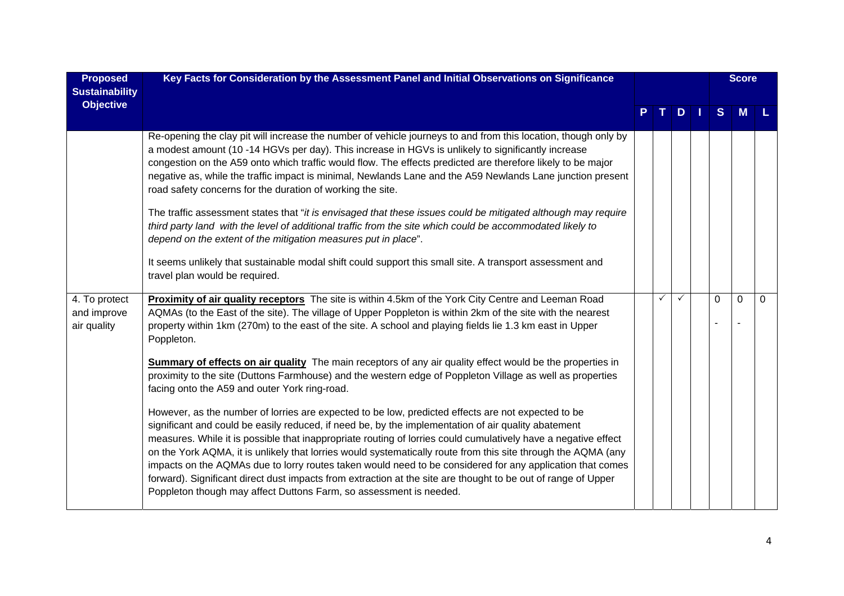| <b>Proposed</b>                             | Key Facts for Consideration by the Assessment Panel and Initial Observations on Significance                                                                                                                                                                                                                                                                                                                                                                                                                                                                                                                                                                                                                                                     |  |   |               |  |          |              |                | <b>Score</b> |  |
|---------------------------------------------|--------------------------------------------------------------------------------------------------------------------------------------------------------------------------------------------------------------------------------------------------------------------------------------------------------------------------------------------------------------------------------------------------------------------------------------------------------------------------------------------------------------------------------------------------------------------------------------------------------------------------------------------------------------------------------------------------------------------------------------------------|--|---|---------------|--|----------|--------------|----------------|--------------|--|
| <b>Sustainability</b><br><b>Objective</b>   |                                                                                                                                                                                                                                                                                                                                                                                                                                                                                                                                                                                                                                                                                                                                                  |  |   |               |  |          |              |                |              |  |
|                                             |                                                                                                                                                                                                                                                                                                                                                                                                                                                                                                                                                                                                                                                                                                                                                  |  |   | $D \mid \mid$ |  | S        | M            |                |              |  |
|                                             | Re-opening the clay pit will increase the number of vehicle journeys to and from this location, though only by<br>a modest amount (10 -14 HGVs per day). This increase in HGVs is unlikely to significantly increase<br>congestion on the A59 onto which traffic would flow. The effects predicted are therefore likely to be major<br>negative as, while the traffic impact is minimal, Newlands Lane and the A59 Newlands Lane junction present<br>road safety concerns for the duration of working the site.                                                                                                                                                                                                                                  |  |   |               |  |          |              |                |              |  |
|                                             | The traffic assessment states that "it is envisaged that these issues could be mitigated although may require<br>third party land with the level of additional traffic from the site which could be accommodated likely to<br>depend on the extent of the mitigation measures put in place".                                                                                                                                                                                                                                                                                                                                                                                                                                                     |  |   |               |  |          |              |                |              |  |
|                                             | It seems unlikely that sustainable modal shift could support this small site. A transport assessment and<br>travel plan would be required.                                                                                                                                                                                                                                                                                                                                                                                                                                                                                                                                                                                                       |  |   |               |  |          |              |                |              |  |
| 4. To protect<br>and improve<br>air quality | <b>Proximity of air quality receptors</b> The site is within 4.5km of the York City Centre and Leeman Road<br>AQMAs (to the East of the site). The village of Upper Poppleton is within 2km of the site with the nearest<br>property within 1km (270m) to the east of the site. A school and playing fields lie 1.3 km east in Upper<br>Poppleton.                                                                                                                                                                                                                                                                                                                                                                                               |  | ✓ | ✓             |  | $\Omega$ | $\mathbf{0}$ | $\overline{0}$ |              |  |
|                                             | Summary of effects on air quality The main receptors of any air quality effect would be the properties in<br>proximity to the site (Duttons Farmhouse) and the western edge of Poppleton Village as well as properties<br>facing onto the A59 and outer York ring-road.                                                                                                                                                                                                                                                                                                                                                                                                                                                                          |  |   |               |  |          |              |                |              |  |
|                                             | However, as the number of lorries are expected to be low, predicted effects are not expected to be<br>significant and could be easily reduced, if need be, by the implementation of air quality abatement<br>measures. While it is possible that inappropriate routing of lorries could cumulatively have a negative effect<br>on the York AQMA, it is unlikely that lorries would systematically route from this site through the AQMA (any<br>impacts on the AQMAs due to lorry routes taken would need to be considered for any application that comes<br>forward). Significant direct dust impacts from extraction at the site are thought to be out of range of Upper<br>Poppleton though may affect Duttons Farm, so assessment is needed. |  |   |               |  |          |              |                |              |  |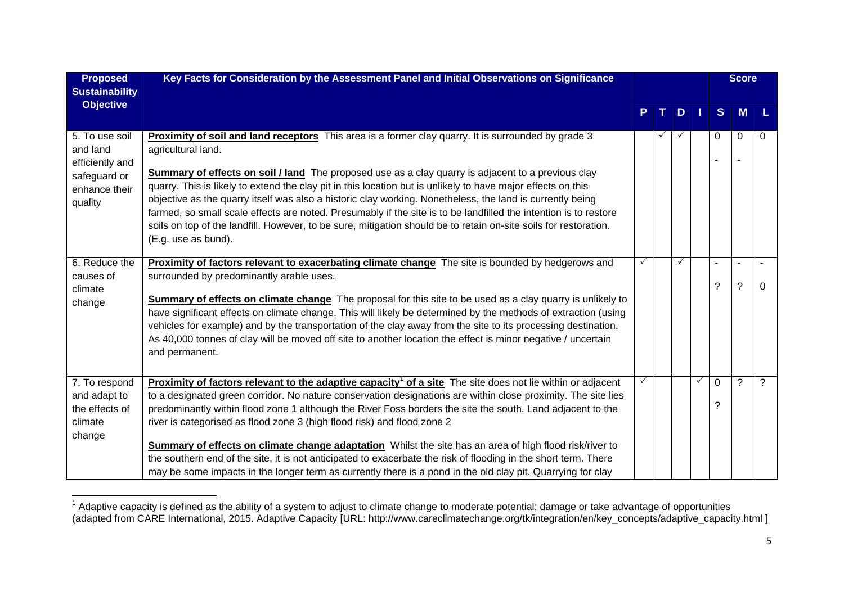| <b>Proposed</b><br><b>Sustainability</b>                                                  | Key Facts for Consideration by the Assessment Panel and Initial Observations on Significance                                                                                                                                                                                                                                                                                                                                                                                                                                                                                                                                                                                                                                                                                        |    |              |   | <b>Score</b>  |                          |   |
|-------------------------------------------------------------------------------------------|-------------------------------------------------------------------------------------------------------------------------------------------------------------------------------------------------------------------------------------------------------------------------------------------------------------------------------------------------------------------------------------------------------------------------------------------------------------------------------------------------------------------------------------------------------------------------------------------------------------------------------------------------------------------------------------------------------------------------------------------------------------------------------------|----|--------------|---|---------------|--------------------------|---|
| <b>Objective</b>                                                                          |                                                                                                                                                                                                                                                                                                                                                                                                                                                                                                                                                                                                                                                                                                                                                                                     | T. | D            |   | <sub>S</sub>  | M                        |   |
| 5. To use soil<br>and land<br>efficiently and<br>safeguard or<br>enhance their<br>quality | Proximity of soil and land receptors This area is a former clay quarry. It is surrounded by grade 3<br>agricultural land.<br><b>Summary of effects on soil / land</b> The proposed use as a clay quarry is adjacent to a previous clay<br>quarry. This is likely to extend the clay pit in this location but is unlikely to have major effects on this<br>objective as the quarry itself was also a historic clay working. Nonetheless, the land is currently being<br>farmed, so small scale effects are noted. Presumably if the site is to be landfilled the intention is to restore<br>soils on top of the landfill. However, to be sure, mitigation should be to retain on-site soils for restoration.<br>(E.g. use as bund).                                                  | ✓  | $\checkmark$ |   | 0             | $\Omega$                 | 0 |
| 6. Reduce the<br>causes of<br>climate<br>change                                           | Proximity of factors relevant to exacerbating climate change The site is bounded by hedgerows and<br>surrounded by predominantly arable uses.<br><b>Summary of effects on climate change</b> The proposal for this site to be used as a clay quarry is unlikely to<br>have significant effects on climate change. This will likely be determined by the methods of extraction (using<br>vehicles for example) and by the transportation of the clay away from the site to its processing destination.<br>As 40,000 tonnes of clay will be moved off site to another location the effect is minor negative / uncertain<br>and permanent.                                                                                                                                             |    | $\checkmark$ |   | L,<br>?       | $\tilde{?}$              | 0 |
| 7. To respond<br>and adapt to<br>the effects of<br>climate<br>change                      | <b>Proximity of factors relevant to the adaptive capacity<sup>1</sup> of a site</b> The site does not lie within or adjacent<br>to a designated green corridor. No nature conservation designations are within close proximity. The site lies<br>predominantly within flood zone 1 although the River Foss borders the site the south. Land adjacent to the<br>river is categorised as flood zone 3 (high flood risk) and flood zone 2<br>Summary of effects on climate change adaptation Whilst the site has an area of high flood risk/river to<br>the southern end of the site, it is not anticipated to exacerbate the risk of flooding in the short term. There<br>may be some impacts in the longer term as currently there is a pond in the old clay pit. Quarrying for clay |    |              | ✓ | $\Omega$<br>? | $\overline{\phantom{0}}$ | ? |

 $1$  Adaptive capacity is defined as the ability of a system to adjust to climate change to moderate potential; damage or take advantage of opportunities (adapted from CARE International, 2015. Adaptive Capacity [URL: http://www.careclimatechange.org/tk/integration/en/key\_concepts/adaptive\_capacity.html ]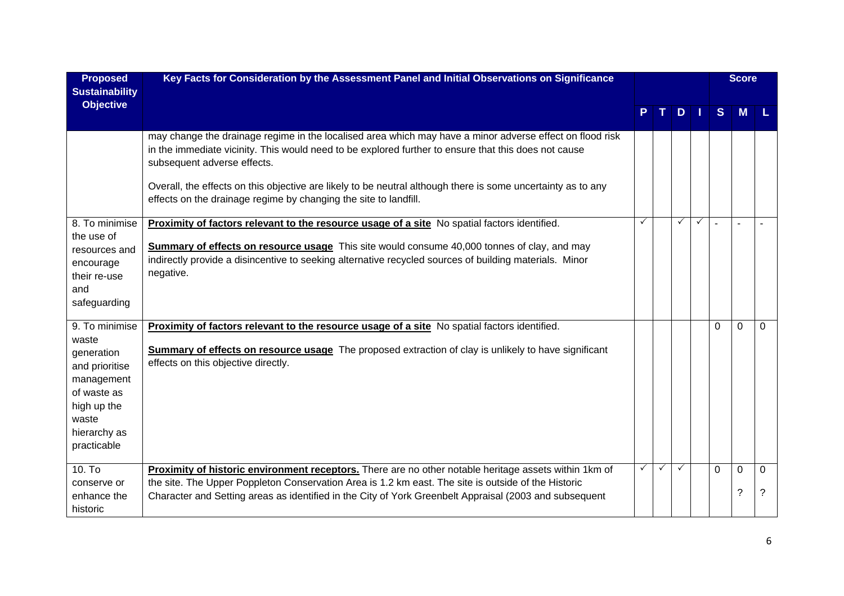| <b>Proposed</b><br><b>Sustainability</b>                                                                                  | Key Facts for Consideration by the Assessment Panel and Initial Observations on Significance                                                                                                                                                                                                                                                                    |              |   |   | <b>Score</b> |          |          |             |
|---------------------------------------------------------------------------------------------------------------------------|-----------------------------------------------------------------------------------------------------------------------------------------------------------------------------------------------------------------------------------------------------------------------------------------------------------------------------------------------------------------|--------------|---|---|--------------|----------|----------|-------------|
| <b>Objective</b>                                                                                                          |                                                                                                                                                                                                                                                                                                                                                                 |              |   | D |              | S        | M        |             |
|                                                                                                                           | may change the drainage regime in the localised area which may have a minor adverse effect on flood risk<br>in the immediate vicinity. This would need to be explored further to ensure that this does not cause<br>subsequent adverse effects.<br>Overall, the effects on this objective are likely to be neutral although there is some uncertainty as to any |              |   |   |              |          |          |             |
|                                                                                                                           | effects on the drainage regime by changing the site to landfill.                                                                                                                                                                                                                                                                                                |              |   |   |              |          |          |             |
| 8. To minimise<br>the use of                                                                                              | Proximity of factors relevant to the resource usage of a site No spatial factors identified.                                                                                                                                                                                                                                                                    |              |   | ✓ |              |          |          |             |
| resources and<br>encourage<br>their re-use<br>and<br>safeguarding                                                         | <b>Summary of effects on resource usage</b> This site would consume 40,000 tonnes of clay, and may<br>indirectly provide a disincentive to seeking alternative recycled sources of building materials. Minor<br>negative.                                                                                                                                       |              |   |   |              |          |          |             |
| 9. To minimise                                                                                                            | Proximity of factors relevant to the resource usage of a site No spatial factors identified.                                                                                                                                                                                                                                                                    |              |   |   |              | $\Omega$ | $\Omega$ | $\Omega$    |
| waste<br>generation<br>and prioritise<br>management<br>of waste as<br>high up the<br>waste<br>hierarchy as<br>practicable | <b>Summary of effects on resource usage</b> The proposed extraction of clay is unlikely to have significant<br>effects on this objective directly.                                                                                                                                                                                                              |              |   |   |              |          |          |             |
| $10.$ To<br>conserve or                                                                                                   | Proximity of historic environment receptors. There are no other notable heritage assets within 1km of<br>the site. The Upper Poppleton Conservation Area is 1.2 km east. The site is outside of the Historic                                                                                                                                                    | $\checkmark$ | ✓ |   |              | $\Omega$ | 0        | $\Omega$    |
| enhance the<br>historic                                                                                                   | Character and Setting areas as identified in the City of York Greenbelt Appraisal (2003 and subsequent                                                                                                                                                                                                                                                          |              |   |   |              |          | ?        | $\tilde{?}$ |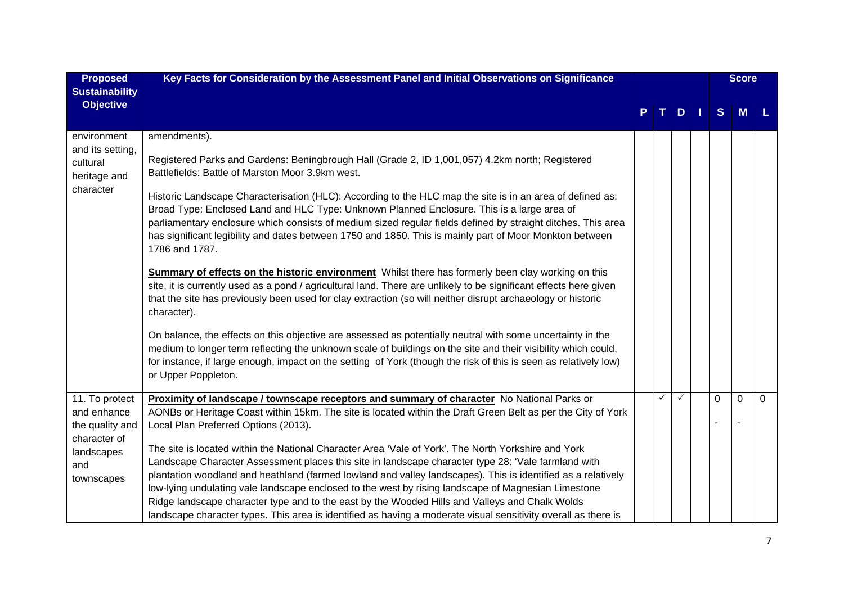| <b>Proposed</b><br><b>Sustainability</b>                                                            | Key Facts for Consideration by the Assessment Panel and Initial Observations on Significance                                                                                                                                                                                                                                                                                                                                                                                                                                                                                                                                                                                                                                                                                                                                                                                                                                                                                                                                                                                                                                                                                                                                                                                                                                                                          |   |     |  | <b>Score</b> |   |          |
|-----------------------------------------------------------------------------------------------------|-----------------------------------------------------------------------------------------------------------------------------------------------------------------------------------------------------------------------------------------------------------------------------------------------------------------------------------------------------------------------------------------------------------------------------------------------------------------------------------------------------------------------------------------------------------------------------------------------------------------------------------------------------------------------------------------------------------------------------------------------------------------------------------------------------------------------------------------------------------------------------------------------------------------------------------------------------------------------------------------------------------------------------------------------------------------------------------------------------------------------------------------------------------------------------------------------------------------------------------------------------------------------------------------------------------------------------------------------------------------------|---|-----|--|--------------|---|----------|
| <b>Objective</b>                                                                                    |                                                                                                                                                                                                                                                                                                                                                                                                                                                                                                                                                                                                                                                                                                                                                                                                                                                                                                                                                                                                                                                                                                                                                                                                                                                                                                                                                                       |   | $D$ |  | S            | M |          |
| environment<br>and its setting,<br>cultural<br>heritage and<br>character                            | amendments).<br>Registered Parks and Gardens: Beningbrough Hall (Grade 2, ID 1,001,057) 4.2km north; Registered<br>Battlefields: Battle of Marston Moor 3.9km west.<br>Historic Landscape Characterisation (HLC): According to the HLC map the site is in an area of defined as:<br>Broad Type: Enclosed Land and HLC Type: Unknown Planned Enclosure. This is a large area of<br>parliamentary enclosure which consists of medium sized regular fields defined by straight ditches. This area<br>has significant legibility and dates between 1750 and 1850. This is mainly part of Moor Monkton between<br>1786 and 1787.<br><b>Summary of effects on the historic environment</b> Whilst there has formerly been clay working on this<br>site, it is currently used as a pond / agricultural land. There are unlikely to be significant effects here given<br>that the site has previously been used for clay extraction (so will neither disrupt archaeology or historic<br>character).<br>On balance, the effects on this objective are assessed as potentially neutral with some uncertainty in the<br>medium to longer term reflecting the unknown scale of buildings on the site and their visibility which could,<br>for instance, if large enough, impact on the setting of York (though the risk of this is seen as relatively low)<br>or Upper Poppleton. |   |     |  |              |   |          |
| 11. To protect<br>and enhance<br>the quality and<br>character of<br>landscapes<br>and<br>townscapes | Proximity of landscape / townscape receptors and summary of character No National Parks or<br>AONBs or Heritage Coast within 15km. The site is located within the Draft Green Belt as per the City of York<br>Local Plan Preferred Options (2013).<br>The site is located within the National Character Area 'Vale of York'. The North Yorkshire and York<br>Landscape Character Assessment places this site in landscape character type 28: 'Vale farmland with<br>plantation woodland and heathland (farmed lowland and valley landscapes). This is identified as a relatively<br>low-lying undulating vale landscape enclosed to the west by rising landscape of Magnesian Limestone<br>Ridge landscape character type and to the east by the Wooded Hills and Valleys and Chalk Wolds<br>landscape character types. This area is identified as having a moderate visual sensitivity overall as there is                                                                                                                                                                                                                                                                                                                                                                                                                                                           | ✓ |     |  | 0            | 0 | $\Omega$ |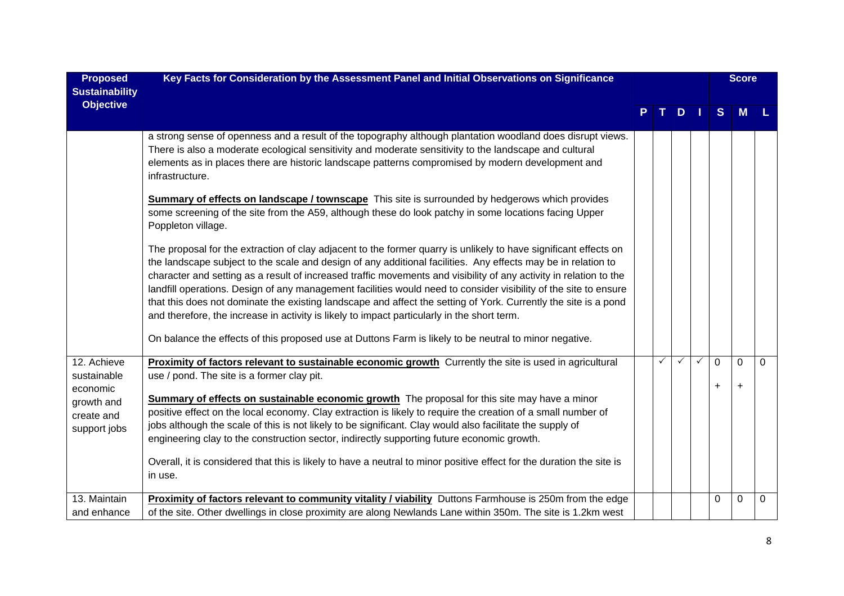| <b>Proposed</b>                           | Key Facts for Consideration by the Assessment Panel and Initial Observations on Significance                                                                                                                                                                                                                                                                                                                                                                                                                                                                                                                                                                                                  |              |              |              | <b>Score</b>   |                |          |
|-------------------------------------------|-----------------------------------------------------------------------------------------------------------------------------------------------------------------------------------------------------------------------------------------------------------------------------------------------------------------------------------------------------------------------------------------------------------------------------------------------------------------------------------------------------------------------------------------------------------------------------------------------------------------------------------------------------------------------------------------------|--------------|--------------|--------------|----------------|----------------|----------|
| <b>Sustainability</b><br><b>Objective</b> |                                                                                                                                                                                                                                                                                                                                                                                                                                                                                                                                                                                                                                                                                               |              | D            |              | S              | M              |          |
|                                           | a strong sense of openness and a result of the topography although plantation woodland does disrupt views.<br>There is also a moderate ecological sensitivity and moderate sensitivity to the landscape and cultural<br>elements as in places there are historic landscape patterns compromised by modern development and<br>infrastructure.                                                                                                                                                                                                                                                                                                                                                  |              |              |              |                |                |          |
|                                           | Summary of effects on landscape / townscape This site is surrounded by hedgerows which provides<br>some screening of the site from the A59, although these do look patchy in some locations facing Upper<br>Poppleton village.                                                                                                                                                                                                                                                                                                                                                                                                                                                                |              |              |              |                |                |          |
|                                           | The proposal for the extraction of clay adjacent to the former quarry is unlikely to have significant effects on<br>the landscape subject to the scale and design of any additional facilities. Any effects may be in relation to<br>character and setting as a result of increased traffic movements and visibility of any activity in relation to the<br>landfill operations. Design of any management facilities would need to consider visibility of the site to ensure<br>that this does not dominate the existing landscape and affect the setting of York. Currently the site is a pond<br>and therefore, the increase in activity is likely to impact particularly in the short term. |              |              |              |                |                |          |
|                                           | On balance the effects of this proposed use at Duttons Farm is likely to be neutral to minor negative.                                                                                                                                                                                                                                                                                                                                                                                                                                                                                                                                                                                        |              |              |              |                |                |          |
| 12. Achieve<br>sustainable<br>economic    | Proximity of factors relevant to sustainable economic growth Currently the site is used in agricultural<br>use / pond. The site is a former clay pit.                                                                                                                                                                                                                                                                                                                                                                                                                                                                                                                                         | $\checkmark$ | $\checkmark$ | $\checkmark$ | 0<br>$\ddot{}$ | 0<br>$\ddot{}$ | $\Omega$ |
| growth and<br>create and<br>support jobs  | <b>Summary of effects on sustainable economic growth</b> The proposal for this site may have a minor<br>positive effect on the local economy. Clay extraction is likely to require the creation of a small number of<br>jobs although the scale of this is not likely to be significant. Clay would also facilitate the supply of<br>engineering clay to the construction sector, indirectly supporting future economic growth.                                                                                                                                                                                                                                                               |              |              |              |                |                |          |
|                                           | Overall, it is considered that this is likely to have a neutral to minor positive effect for the duration the site is<br>in use.                                                                                                                                                                                                                                                                                                                                                                                                                                                                                                                                                              |              |              |              |                |                |          |
| 13. Maintain<br>and enhance               | Proximity of factors relevant to community vitality / viability Duttons Farmhouse is 250m from the edge<br>of the site. Other dwellings in close proximity are along Newlands Lane within 350m. The site is 1.2km west                                                                                                                                                                                                                                                                                                                                                                                                                                                                        |              |              |              | 0              | 0              | 0        |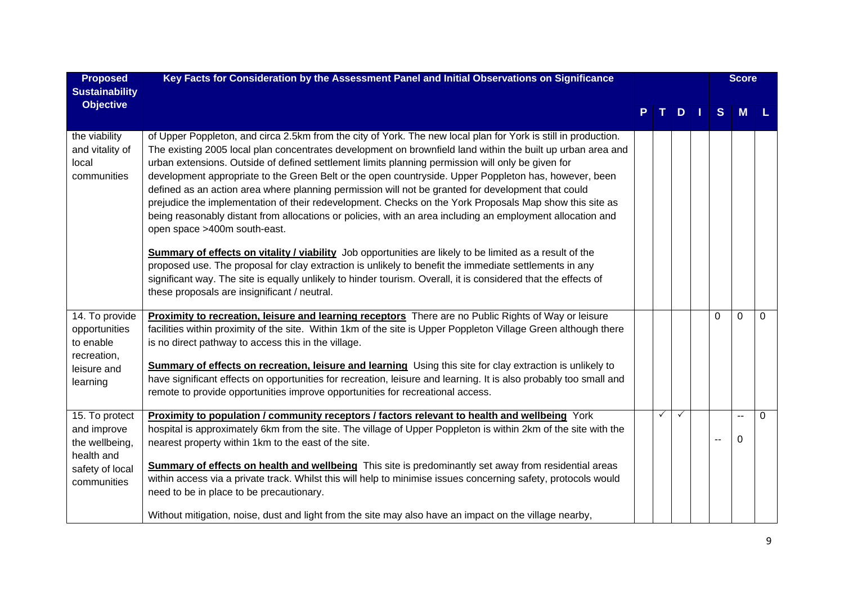| <b>Proposed</b><br><b>Sustainability</b>                                                        | Key Facts for Consideration by the Assessment Panel and Initial Observations on Significance                                                                                                                                                                                                                                                                                                                                                                                                                                                                                                                                                                                                                                                                                                                                                                                                                                                                                                                                                                                                                                                                                                              |   |              |     |                          | <b>Score</b>                         |          |
|-------------------------------------------------------------------------------------------------|-----------------------------------------------------------------------------------------------------------------------------------------------------------------------------------------------------------------------------------------------------------------------------------------------------------------------------------------------------------------------------------------------------------------------------------------------------------------------------------------------------------------------------------------------------------------------------------------------------------------------------------------------------------------------------------------------------------------------------------------------------------------------------------------------------------------------------------------------------------------------------------------------------------------------------------------------------------------------------------------------------------------------------------------------------------------------------------------------------------------------------------------------------------------------------------------------------------|---|--------------|-----|--------------------------|--------------------------------------|----------|
| <b>Objective</b>                                                                                |                                                                                                                                                                                                                                                                                                                                                                                                                                                                                                                                                                                                                                                                                                                                                                                                                                                                                                                                                                                                                                                                                                                                                                                                           |   | D            | 1 I | S                        | M                                    |          |
| the viability<br>and vitality of<br>local<br>communities                                        | of Upper Poppleton, and circa 2.5km from the city of York. The new local plan for York is still in production.<br>The existing 2005 local plan concentrates development on brownfield land within the built up urban area and<br>urban extensions. Outside of defined settlement limits planning permission will only be given for<br>development appropriate to the Green Belt or the open countryside. Upper Poppleton has, however, been<br>defined as an action area where planning permission will not be granted for development that could<br>prejudice the implementation of their redevelopment. Checks on the York Proposals Map show this site as<br>being reasonably distant from allocations or policies, with an area including an employment allocation and<br>open space >400m south-east.<br><b>Summary of effects on vitality / viability</b> Job opportunities are likely to be limited as a result of the<br>proposed use. The proposal for clay extraction is unlikely to benefit the immediate settlements in any<br>significant way. The site is equally unlikely to hinder tourism. Overall, it is considered that the effects of<br>these proposals are insignificant / neutral. |   |              |     |                          |                                      |          |
| 14. To provide<br>opportunities<br>to enable<br>recreation,<br>leisure and<br>learning          | Proximity to recreation, leisure and learning receptors There are no Public Rights of Way or leisure<br>facilities within proximity of the site. Within 1km of the site is Upper Poppleton Village Green although there<br>is no direct pathway to access this in the village.<br>Summary of effects on recreation, leisure and learning Using this site for clay extraction is unlikely to<br>have significant effects on opportunities for recreation, leisure and learning. It is also probably too small and<br>remote to provide opportunities improve opportunities for recreational access.                                                                                                                                                                                                                                                                                                                                                                                                                                                                                                                                                                                                        |   |              |     | 0                        | $\Omega$                             | $\Omega$ |
| 15. To protect<br>and improve<br>the wellbeing,<br>health and<br>safety of local<br>communities | Proximity to population / community receptors / factors relevant to health and wellbeing York<br>hospital is approximately 6km from the site. The village of Upper Poppleton is within 2km of the site with the<br>nearest property within 1km to the east of the site.<br>Summary of effects on health and wellbeing This site is predominantly set away from residential areas<br>within access via a private track. Whilst this will help to minimise issues concerning safety, protocols would<br>need to be in place to be precautionary.<br>Without mitigation, noise, dust and light from the site may also have an impact on the village nearby,                                                                                                                                                                                                                                                                                                                                                                                                                                                                                                                                                  | ✓ | $\checkmark$ |     | $\overline{\phantom{a}}$ | $\overline{\phantom{a}}$<br>$\Omega$ | 0        |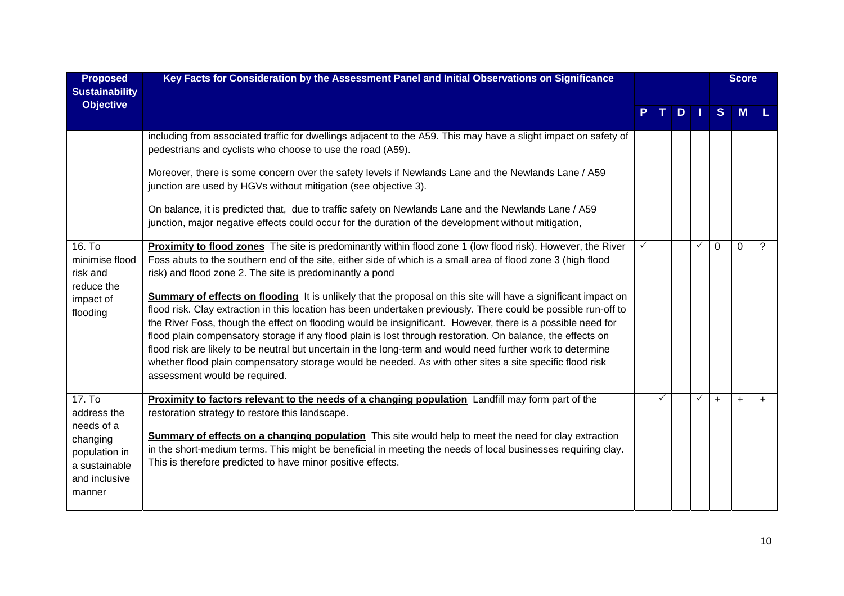| <b>Proposed</b><br><b>Sustainability</b>                                                                     | Key Facts for Consideration by the Assessment Panel and Initial Observations on Significance                                                                                                                                                                                                                                                                                                                                                                                                                                                                                                                                                                                                                                                                                                                                                                                                                                                                                                                           | $D \mid \mid$ |  |              | <b>Score</b> |           |                |
|--------------------------------------------------------------------------------------------------------------|------------------------------------------------------------------------------------------------------------------------------------------------------------------------------------------------------------------------------------------------------------------------------------------------------------------------------------------------------------------------------------------------------------------------------------------------------------------------------------------------------------------------------------------------------------------------------------------------------------------------------------------------------------------------------------------------------------------------------------------------------------------------------------------------------------------------------------------------------------------------------------------------------------------------------------------------------------------------------------------------------------------------|---------------|--|--------------|--------------|-----------|----------------|
| <b>Objective</b>                                                                                             |                                                                                                                                                                                                                                                                                                                                                                                                                                                                                                                                                                                                                                                                                                                                                                                                                                                                                                                                                                                                                        |               |  |              | S            | <b>M</b>  |                |
|                                                                                                              | including from associated traffic for dwellings adjacent to the A59. This may have a slight impact on safety of<br>pedestrians and cyclists who choose to use the road (A59).<br>Moreover, there is some concern over the safety levels if Newlands Lane and the Newlands Lane / A59<br>junction are used by HGVs without mitigation (see objective 3).<br>On balance, it is predicted that, due to traffic safety on Newlands Lane and the Newlands Lane / A59<br>junction, major negative effects could occur for the duration of the development without mitigation,                                                                                                                                                                                                                                                                                                                                                                                                                                                |               |  |              |              |           |                |
| 16. To<br>minimise flood<br>risk and<br>reduce the<br>impact of<br>flooding                                  | Proximity to flood zones The site is predominantly within flood zone 1 (low flood risk). However, the River<br>Foss abuts to the southern end of the site, either side of which is a small area of flood zone 3 (high flood<br>risk) and flood zone 2. The site is predominantly a pond<br>Summary of effects on flooding It is unlikely that the proposal on this site will have a significant impact on<br>flood risk. Clay extraction in this location has been undertaken previously. There could be possible run-off to<br>the River Foss, though the effect on flooding would be insignificant. However, there is a possible need for<br>flood plain compensatory storage if any flood plain is lost through restoration. On balance, the effects on<br>flood risk are likely to be neutral but uncertain in the long-term and would need further work to determine<br>whether flood plain compensatory storage would be needed. As with other sites a site specific flood risk<br>assessment would be required. |               |  | $\checkmark$ | $\Omega$     | $\Omega$  | $\overline{?}$ |
| 17. To<br>address the<br>needs of a<br>changing<br>population in<br>a sustainable<br>and inclusive<br>manner | Proximity to factors relevant to the needs of a changing population Landfill may form part of the<br>restoration strategy to restore this landscape.<br><b>Summary of effects on a changing population</b> This site would help to meet the need for clay extraction<br>in the short-medium terms. This might be beneficial in meeting the needs of local businesses requiring clay.<br>This is therefore predicted to have minor positive effects.                                                                                                                                                                                                                                                                                                                                                                                                                                                                                                                                                                    | ✓             |  | $\checkmark$ | $+$          | $\ddot{}$ | $+$            |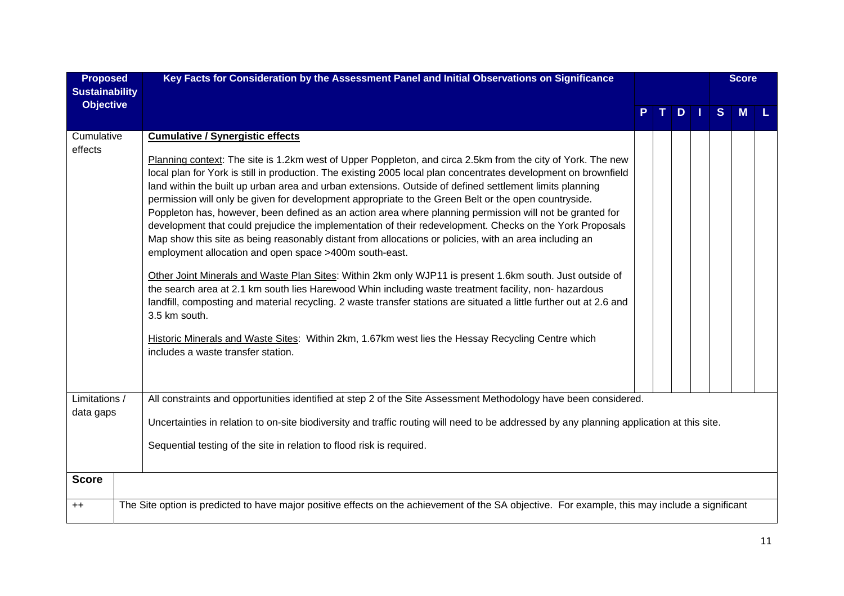| <b>Proposed</b>                           | Key Facts for Consideration by the Assessment Panel and Initial Observations on Significance                                                                                                                                                                                                                                                                                                                                                                                                                                                                                                                                                                                                                                                                                                                                                                                                                                                                                                                                                                                                                                                                                                                                                                                                                                                                                                     |  |     |   | <b>Score</b> |  |
|-------------------------------------------|--------------------------------------------------------------------------------------------------------------------------------------------------------------------------------------------------------------------------------------------------------------------------------------------------------------------------------------------------------------------------------------------------------------------------------------------------------------------------------------------------------------------------------------------------------------------------------------------------------------------------------------------------------------------------------------------------------------------------------------------------------------------------------------------------------------------------------------------------------------------------------------------------------------------------------------------------------------------------------------------------------------------------------------------------------------------------------------------------------------------------------------------------------------------------------------------------------------------------------------------------------------------------------------------------------------------------------------------------------------------------------------------------|--|-----|---|--------------|--|
| <b>Sustainability</b><br><b>Objective</b> |                                                                                                                                                                                                                                                                                                                                                                                                                                                                                                                                                                                                                                                                                                                                                                                                                                                                                                                                                                                                                                                                                                                                                                                                                                                                                                                                                                                                  |  | $D$ | S | M            |  |
| Cumulative<br>effects                     | <b>Cumulative / Synergistic effects</b><br>Planning context: The site is 1.2km west of Upper Poppleton, and circa 2.5km from the city of York. The new<br>local plan for York is still in production. The existing 2005 local plan concentrates development on brownfield<br>land within the built up urban area and urban extensions. Outside of defined settlement limits planning<br>permission will only be given for development appropriate to the Green Belt or the open countryside.<br>Poppleton has, however, been defined as an action area where planning permission will not be granted for<br>development that could prejudice the implementation of their redevelopment. Checks on the York Proposals<br>Map show this site as being reasonably distant from allocations or policies, with an area including an<br>employment allocation and open space >400m south-east.<br>Other Joint Minerals and Waste Plan Sites: Within 2km only WJP11 is present 1.6km south. Just outside of<br>the search area at 2.1 km south lies Harewood Whin including waste treatment facility, non- hazardous<br>landfill, composting and material recycling. 2 waste transfer stations are situated a little further out at 2.6 and<br>3.5 km south.<br>Historic Minerals and Waste Sites: Within 2km, 1.67km west lies the Hessay Recycling Centre which<br>includes a waste transfer station. |  |     |   |              |  |
| Limitations /<br>data gaps                | All constraints and opportunities identified at step 2 of the Site Assessment Methodology have been considered.<br>Uncertainties in relation to on-site biodiversity and traffic routing will need to be addressed by any planning application at this site.<br>Sequential testing of the site in relation to flood risk is required.                                                                                                                                                                                                                                                                                                                                                                                                                                                                                                                                                                                                                                                                                                                                                                                                                                                                                                                                                                                                                                                            |  |     |   |              |  |
| <b>Score</b>                              |                                                                                                                                                                                                                                                                                                                                                                                                                                                                                                                                                                                                                                                                                                                                                                                                                                                                                                                                                                                                                                                                                                                                                                                                                                                                                                                                                                                                  |  |     |   |              |  |
| $++$                                      | The Site option is predicted to have major positive effects on the achievement of the SA objective. For example, this may include a significant                                                                                                                                                                                                                                                                                                                                                                                                                                                                                                                                                                                                                                                                                                                                                                                                                                                                                                                                                                                                                                                                                                                                                                                                                                                  |  |     |   |              |  |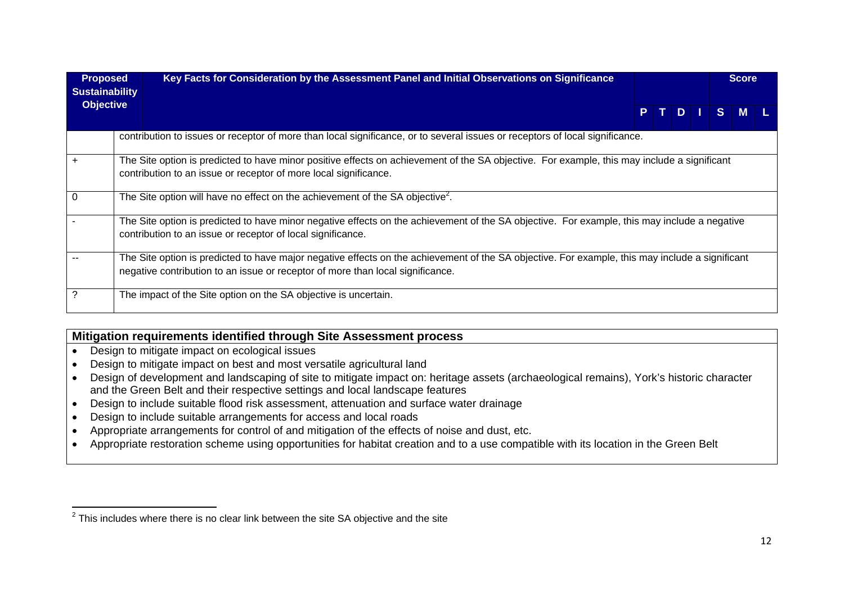| <b>Proposed</b><br><b>Sustainability</b> | Key Facts for Consideration by the Assessment Panel and Initial Observations on Significance                                                                                                                                      |  |      |                | <b>Score</b>   |  |
|------------------------------------------|-----------------------------------------------------------------------------------------------------------------------------------------------------------------------------------------------------------------------------------|--|------|----------------|----------------|--|
| <b>Objective</b>                         |                                                                                                                                                                                                                                   |  | PTDI | S <sub>1</sub> | $\blacksquare$ |  |
|                                          | contribution to issues or receptor of more than local significance, or to several issues or receptors of local significance.                                                                                                      |  |      |                |                |  |
|                                          | The Site option is predicted to have minor positive effects on achievement of the SA objective. For example, this may include a significant<br>contribution to an issue or receptor of more local significance.                   |  |      |                |                |  |
| $\Omega$                                 | The Site option will have no effect on the achievement of the SA objective <sup>2</sup> .                                                                                                                                         |  |      |                |                |  |
|                                          | The Site option is predicted to have minor negative effects on the achievement of the SA objective. For example, this may include a negative<br>contribution to an issue or receptor of local significance.                       |  |      |                |                |  |
|                                          | The Site option is predicted to have major negative effects on the achievement of the SA objective. For example, this may include a significant<br>negative contribution to an issue or receptor of more than local significance. |  |      |                |                |  |
| ?                                        | The impact of the Site option on the SA objective is uncertain.                                                                                                                                                                   |  |      |                |                |  |

#### **Mitigation requirements identified through Site Assessment process**

- Design to mitigate impact on ecological issues
- Design to mitigate impact on best and most versatile agricultural land
- Design of development and landscaping of site to mitigate impact on: heritage assets (archaeological remains), York's historic character and the Green Belt and their respective settings and local landscape features
- Design to include suitable flood risk assessment, attenuation and surface water drainage
- Design to include suitable arrangements for access and local roads
- Appropriate arrangements for control of and mitigation of the effects of noise and dust, etc.
- Appropriate restoration scheme using opportunities for habitat creation and to a use compatible with its location in the Green Belt

 $2$  This includes where there is no clear link between the site SA objective and the site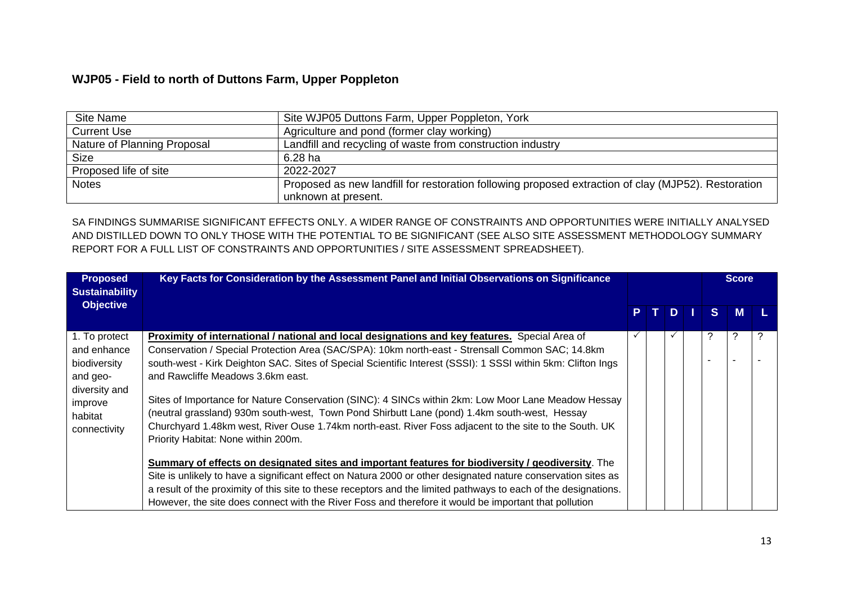## **WJP05 - Field to north of Duttons Farm, Upper Poppleton**

| Site Name                   | Site WJP05 Duttons Farm, Upper Poppleton, York                                                      |
|-----------------------------|-----------------------------------------------------------------------------------------------------|
| <b>Current Use</b>          | Agriculture and pond (former clay working)                                                          |
| Nature of Planning Proposal | Landfill and recycling of waste from construction industry                                          |
| <b>Size</b>                 | 6.28 ha                                                                                             |
| Proposed life of site       | 2022-2027                                                                                           |
| <b>Notes</b>                | Proposed as new landfill for restoration following proposed extraction of clay (MJP52). Restoration |
|                             | unknown at present.                                                                                 |

SA FINDINGS SUMMARISE SIGNIFICANT EFFECTS ONLY. A WIDER RANGE OF CONSTRAINTS AND OPPORTUNITIES WERE INITIALLY ANALYSED AND DISTILLED DOWN TO ONLY THOSE WITH THE POTENTIAL TO BE SIGNIFICANT (SEE ALSO SITE ASSESSMENT METHODOLOGY SUMMARY REPORT FOR A FULL LIST OF CONSTRAINTS AND OPPORTUNITIES / SITE ASSESSMENT SPREADSHEET).

| <b>Proposed</b><br><b>Sustainability</b>                                                                        | Key Facts for Consideration by the Assessment Panel and Initial Observations on Significance                                                                                                                                                                                                                                                                                                                                                                                                                                                                                                                                                                                                                    |  |  |   | <b>Score</b> |    |   |  |
|-----------------------------------------------------------------------------------------------------------------|-----------------------------------------------------------------------------------------------------------------------------------------------------------------------------------------------------------------------------------------------------------------------------------------------------------------------------------------------------------------------------------------------------------------------------------------------------------------------------------------------------------------------------------------------------------------------------------------------------------------------------------------------------------------------------------------------------------------|--|--|---|--------------|----|---|--|
| <b>Objective</b>                                                                                                |                                                                                                                                                                                                                                                                                                                                                                                                                                                                                                                                                                                                                                                                                                                 |  |  | D |              | S. | M |  |
| 1. To protect<br>and enhance<br>biodiversity<br>and geo-<br>diversity and<br>improve<br>habitat<br>connectivity | Proximity of international / national and local designations and key features. Special Area of<br>Conservation / Special Protection Area (SAC/SPA): 10km north-east - Strensall Common SAC; 14.8km<br>south-west - Kirk Deighton SAC. Sites of Special Scientific Interest (SSSI): 1 SSSI within 5km: Clifton Ings<br>and Rawcliffe Meadows 3.6km east.<br>Sites of Importance for Nature Conservation (SINC): 4 SINCs within 2km: Low Moor Lane Meadow Hessay<br>(neutral grassland) 930m south-west, Town Pond Shirbutt Lane (pond) 1.4km south-west, Hessay<br>Churchyard 1.48km west, River Ouse 1.74km north-east. River Foss adjacent to the site to the South. UK<br>Priority Habitat: None within 200m. |  |  | ✓ |              | ?  | ? |  |
|                                                                                                                 | Summary of effects on designated sites and important features for biodiversity / geodiversity. The<br>Site is unlikely to have a significant effect on Natura 2000 or other designated nature conservation sites as<br>a result of the proximity of this site to these receptors and the limited pathways to each of the designations.<br>However, the site does connect with the River Foss and therefore it would be important that pollution                                                                                                                                                                                                                                                                 |  |  |   |              |    |   |  |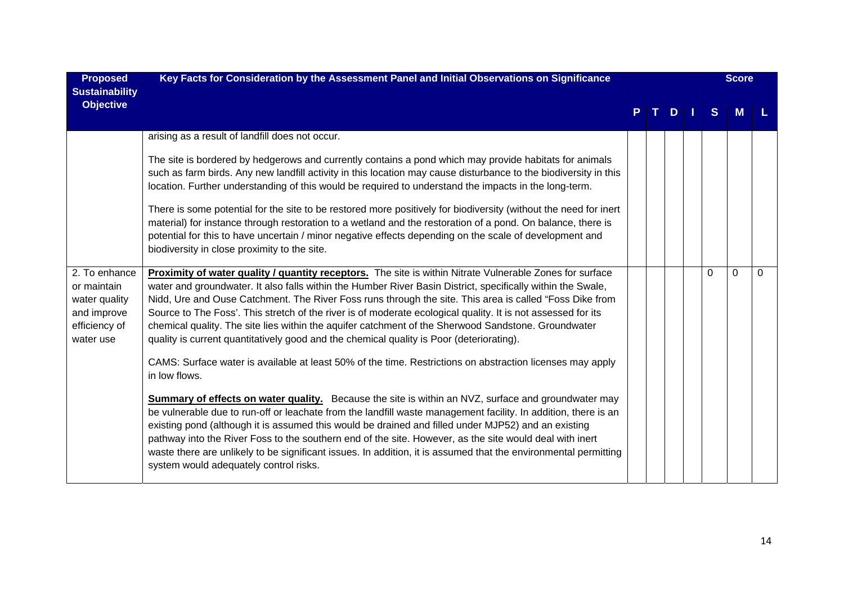| <b>Proposed</b><br><b>Sustainability</b>                                                   | Key Facts for Consideration by the Assessment Panel and Initial Observations on Significance                                                                                                                                                                                                                                                                                                                                                                                                                                                                                                                                                                                                                                                                                                                                                                                                                                                                                                                                                                                                                                                                                                                                                                                                                                                                                                       |     |         |              | <b>Score</b> |   |
|--------------------------------------------------------------------------------------------|----------------------------------------------------------------------------------------------------------------------------------------------------------------------------------------------------------------------------------------------------------------------------------------------------------------------------------------------------------------------------------------------------------------------------------------------------------------------------------------------------------------------------------------------------------------------------------------------------------------------------------------------------------------------------------------------------------------------------------------------------------------------------------------------------------------------------------------------------------------------------------------------------------------------------------------------------------------------------------------------------------------------------------------------------------------------------------------------------------------------------------------------------------------------------------------------------------------------------------------------------------------------------------------------------------------------------------------------------------------------------------------------------|-----|---------|--------------|--------------|---|
| <b>Objective</b>                                                                           |                                                                                                                                                                                                                                                                                                                                                                                                                                                                                                                                                                                                                                                                                                                                                                                                                                                                                                                                                                                                                                                                                                                                                                                                                                                                                                                                                                                                    | T I | $D$   1 | <sub>S</sub> | M            |   |
|                                                                                            | arising as a result of landfill does not occur.<br>The site is bordered by hedgerows and currently contains a pond which may provide habitats for animals<br>such as farm birds. Any new landfill activity in this location may cause disturbance to the biodiversity in this<br>location. Further understanding of this would be required to understand the impacts in the long-term.<br>There is some potential for the site to be restored more positively for biodiversity (without the need for inert<br>material) for instance through restoration to a wetland and the restoration of a pond. On balance, there is<br>potential for this to have uncertain / minor negative effects depending on the scale of development and<br>biodiversity in close proximity to the site.                                                                                                                                                                                                                                                                                                                                                                                                                                                                                                                                                                                                               |     |         |              |              |   |
| 2. To enhance<br>or maintain<br>water quality<br>and improve<br>efficiency of<br>water use | Proximity of water quality / quantity receptors. The site is within Nitrate Vulnerable Zones for surface<br>water and groundwater. It also falls within the Humber River Basin District, specifically within the Swale,<br>Nidd, Ure and Ouse Catchment. The River Foss runs through the site. This area is called "Foss Dike from<br>Source to The Foss'. This stretch of the river is of moderate ecological quality. It is not assessed for its<br>chemical quality. The site lies within the aquifer catchment of the Sherwood Sandstone. Groundwater<br>quality is current quantitatively good and the chemical quality is Poor (deteriorating).<br>CAMS: Surface water is available at least 50% of the time. Restrictions on abstraction licenses may apply<br>in low flows.<br><b>Summary of effects on water quality.</b> Because the site is within an NVZ, surface and groundwater may<br>be vulnerable due to run-off or leachate from the landfill waste management facility. In addition, there is an<br>existing pond (although it is assumed this would be drained and filled under MJP52) and an existing<br>pathway into the River Foss to the southern end of the site. However, as the site would deal with inert<br>waste there are unlikely to be significant issues. In addition, it is assumed that the environmental permitting<br>system would adequately control risks. |     |         | $\Omega$     | $\Omega$     | 0 |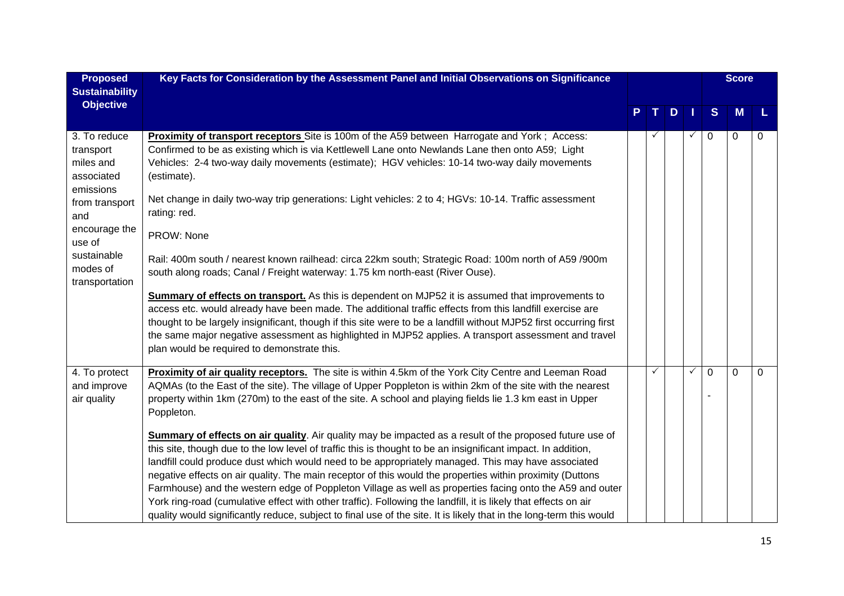| <b>Proposed</b><br><b>Sustainability</b>                          | Key Facts for Consideration by the Assessment Panel and Initial Observations on Significance                                                                                                                                                                                                                                                                                                                                                                                                                                                                                                                                                                                                                                                                                                       |   |   |              |   | <b>Score</b> |          |
|-------------------------------------------------------------------|----------------------------------------------------------------------------------------------------------------------------------------------------------------------------------------------------------------------------------------------------------------------------------------------------------------------------------------------------------------------------------------------------------------------------------------------------------------------------------------------------------------------------------------------------------------------------------------------------------------------------------------------------------------------------------------------------------------------------------------------------------------------------------------------------|---|---|--------------|---|--------------|----------|
| <b>Objective</b>                                                  |                                                                                                                                                                                                                                                                                                                                                                                                                                                                                                                                                                                                                                                                                                                                                                                                    | т | D |              | S | M            |          |
| 3. To reduce<br>transport<br>miles and<br>associated<br>emissions | Proximity of transport receptors Site is 100m of the A59 between Harrogate and York; Access:<br>Confirmed to be as existing which is via Kettlewell Lane onto Newlands Lane then onto A59; Light<br>Vehicles: 2-4 two-way daily movements (estimate); HGV vehicles: 10-14 two-way daily movements<br>(estimate).                                                                                                                                                                                                                                                                                                                                                                                                                                                                                   |   |   | $\checkmark$ | 0 | $\mathbf 0$  | $\Omega$ |
| from transport<br>and                                             | Net change in daily two-way trip generations: Light vehicles: 2 to 4; HGVs: 10-14. Traffic assessment<br>rating: red.                                                                                                                                                                                                                                                                                                                                                                                                                                                                                                                                                                                                                                                                              |   |   |              |   |              |          |
| encourage the<br>use of                                           | PROW: None                                                                                                                                                                                                                                                                                                                                                                                                                                                                                                                                                                                                                                                                                                                                                                                         |   |   |              |   |              |          |
| sustainable<br>modes of<br>transportation                         | Rail: 400m south / nearest known railhead: circa 22km south; Strategic Road: 100m north of A59 /900m<br>south along roads; Canal / Freight waterway: 1.75 km north-east (River Ouse).                                                                                                                                                                                                                                                                                                                                                                                                                                                                                                                                                                                                              |   |   |              |   |              |          |
|                                                                   | <b>Summary of effects on transport.</b> As this is dependent on MJP52 it is assumed that improvements to<br>access etc. would already have been made. The additional traffic effects from this landfill exercise are<br>thought to be largely insignificant, though if this site were to be a landfill without MJP52 first occurring first<br>the same major negative assessment as highlighted in MJP52 applies. A transport assessment and travel                                                                                                                                                                                                                                                                                                                                                |   |   |              |   |              |          |
|                                                                   | plan would be required to demonstrate this.                                                                                                                                                                                                                                                                                                                                                                                                                                                                                                                                                                                                                                                                                                                                                        |   |   |              |   |              |          |
| 4. To protect<br>and improve<br>air quality                       | Proximity of air quality receptors. The site is within 4.5km of the York City Centre and Leeman Road<br>AQMAs (to the East of the site). The village of Upper Poppleton is within 2km of the site with the nearest<br>property within 1km (270m) to the east of the site. A school and playing fields lie 1.3 km east in Upper<br>Poppleton.                                                                                                                                                                                                                                                                                                                                                                                                                                                       | ✓ |   | $\checkmark$ | 0 | $\mathbf 0$  | 0        |
|                                                                   | Summary of effects on air quality. Air quality may be impacted as a result of the proposed future use of<br>this site, though due to the low level of traffic this is thought to be an insignificant impact. In addition,<br>landfill could produce dust which would need to be appropriately managed. This may have associated<br>negative effects on air quality. The main receptor of this would the properties within proximity (Duttons<br>Farmhouse) and the western edge of Poppleton Village as well as properties facing onto the A59 and outer<br>York ring-road (cumulative effect with other traffic). Following the landfill, it is likely that effects on air<br>quality would significantly reduce, subject to final use of the site. It is likely that in the long-term this would |   |   |              |   |              |          |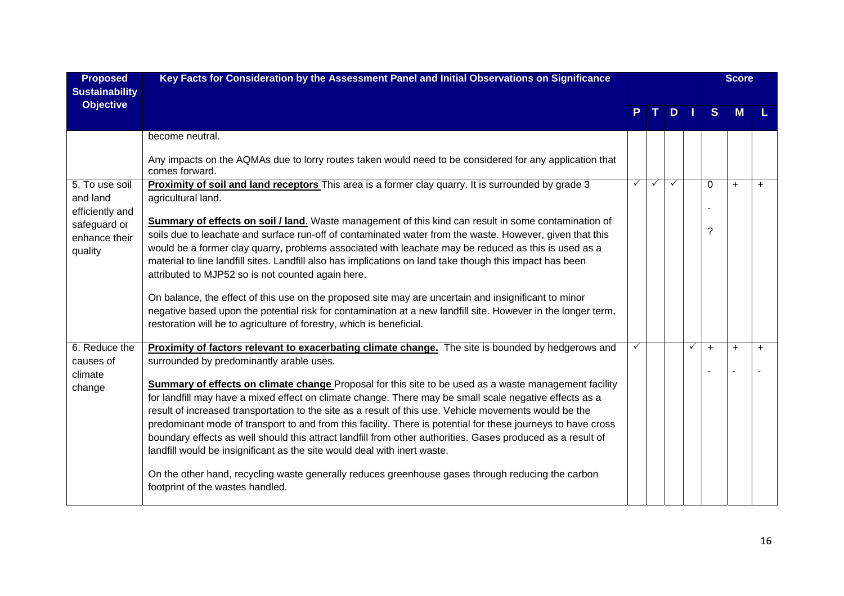| <b>Proposed</b><br><b>Sustainability</b>                    | Key Facts for Consideration by the Assessment Panel and Initial Observations on Significance                                                                                                                                                                                                                                                                                                                                                                                                                                                                                                                                                |              |   |              |   |              | <b>Score</b> |  |  |
|-------------------------------------------------------------|---------------------------------------------------------------------------------------------------------------------------------------------------------------------------------------------------------------------------------------------------------------------------------------------------------------------------------------------------------------------------------------------------------------------------------------------------------------------------------------------------------------------------------------------------------------------------------------------------------------------------------------------|--------------|---|--------------|---|--------------|--------------|--|--|
| <b>Objective</b>                                            |                                                                                                                                                                                                                                                                                                                                                                                                                                                                                                                                                                                                                                             |              |   | D.           |   | <sub>S</sub> |              |  |  |
|                                                             | become neutral.<br>Any impacts on the AQMAs due to lorry routes taken would need to be considered for any application that                                                                                                                                                                                                                                                                                                                                                                                                                                                                                                                  |              |   |              |   |              |              |  |  |
| 5. To use soil<br>and land                                  | comes forward.<br>Proximity of soil and land receptors This area is a former clay quarry. It is surrounded by grade 3<br>agricultural land.                                                                                                                                                                                                                                                                                                                                                                                                                                                                                                 | $\checkmark$ | ✓ | $\checkmark$ |   | 0            | $+$          |  |  |
| efficiently and<br>safeguard or<br>enhance their<br>quality | <b>Summary of effects on soil / land.</b> Waste management of this kind can result in some contamination of<br>soils due to leachate and surface run-off of contaminated water from the waste. However, given that this<br>would be a former clay quarry, problems associated with leachate may be reduced as this is used as a<br>material to line landfill sites. Landfill also has implications on land take though this impact has been<br>attributed to MJP52 so is not counted again here.                                                                                                                                            |              |   |              |   | ?            |              |  |  |
|                                                             | On balance, the effect of this use on the proposed site may are uncertain and insignificant to minor<br>negative based upon the potential risk for contamination at a new landfill site. However in the longer term,<br>restoration will be to agriculture of forestry, which is beneficial.                                                                                                                                                                                                                                                                                                                                                |              |   |              |   |              |              |  |  |
| 6. Reduce the<br>causes of<br>climate                       | <b>Proximity of factors relevant to exacerbating climate change.</b> The site is bounded by hedgerows and<br>surrounded by predominantly arable uses.                                                                                                                                                                                                                                                                                                                                                                                                                                                                                       |              |   |              | ✓ | $\ddot{}$    | $+$          |  |  |
| change                                                      | <b>Summary of effects on climate change</b> Proposal for this site to be used as a waste management facility<br>for landfill may have a mixed effect on climate change. There may be small scale negative effects as a<br>result of increased transportation to the site as a result of this use. Vehicle movements would be the<br>predominant mode of transport to and from this facility. There is potential for these journeys to have cross<br>boundary effects as well should this attract landfill from other authorities. Gases produced as a result of<br>landfill would be insignificant as the site would deal with inert waste. |              |   |              |   |              |              |  |  |
|                                                             | On the other hand, recycling waste generally reduces greenhouse gases through reducing the carbon<br>footprint of the wastes handled.                                                                                                                                                                                                                                                                                                                                                                                                                                                                                                       |              |   |              |   |              |              |  |  |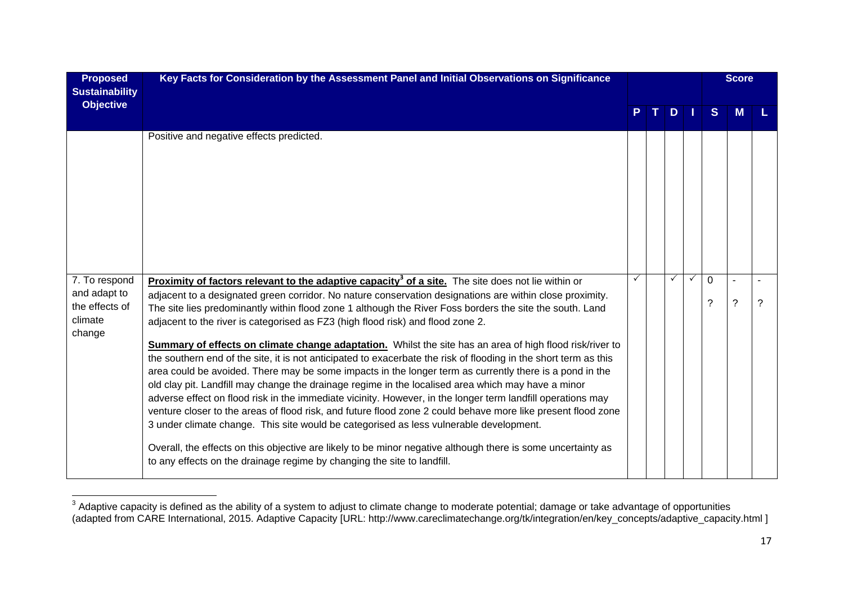| <b>Proposed</b><br><b>Sustainability</b>                             | Key Facts for Consideration by the Assessment Panel and Initial Observations on Significance                                                                                                                                                                                                                                                                                                                                                                                                                                                                                                                                                                                                                                                                                                                                                                                                                                                                                                                                                                                                                                                                                                                                                                                                                                                                                                         |   |   |              |               | <b>Score</b>                       |  |
|----------------------------------------------------------------------|------------------------------------------------------------------------------------------------------------------------------------------------------------------------------------------------------------------------------------------------------------------------------------------------------------------------------------------------------------------------------------------------------------------------------------------------------------------------------------------------------------------------------------------------------------------------------------------------------------------------------------------------------------------------------------------------------------------------------------------------------------------------------------------------------------------------------------------------------------------------------------------------------------------------------------------------------------------------------------------------------------------------------------------------------------------------------------------------------------------------------------------------------------------------------------------------------------------------------------------------------------------------------------------------------------------------------------------------------------------------------------------------------|---|---|--------------|---------------|------------------------------------|--|
| <b>Objective</b>                                                     |                                                                                                                                                                                                                                                                                                                                                                                                                                                                                                                                                                                                                                                                                                                                                                                                                                                                                                                                                                                                                                                                                                                                                                                                                                                                                                                                                                                                      |   | D |              | S             |                                    |  |
|                                                                      | Positive and negative effects predicted.                                                                                                                                                                                                                                                                                                                                                                                                                                                                                                                                                                                                                                                                                                                                                                                                                                                                                                                                                                                                                                                                                                                                                                                                                                                                                                                                                             |   |   |              |               |                                    |  |
| 7. To respond<br>and adapt to<br>the effects of<br>climate<br>change | <b>Proximity of factors relevant to the adaptive capacity<sup>3</sup> of a site.</b> The site does not lie within or<br>adjacent to a designated green corridor. No nature conservation designations are within close proximity.<br>The site lies predominantly within flood zone 1 although the River Foss borders the site the south. Land<br>adjacent to the river is categorised as FZ3 (high flood risk) and flood zone 2.<br>Summary of effects on climate change adaptation. Whilst the site has an area of high flood risk/river to<br>the southern end of the site, it is not anticipated to exacerbate the risk of flooding in the short term as this<br>area could be avoided. There may be some impacts in the longer term as currently there is a pond in the<br>old clay pit. Landfill may change the drainage regime in the localised area which may have a minor<br>adverse effect on flood risk in the immediate vicinity. However, in the longer term landfill operations may<br>venture closer to the areas of flood risk, and future flood zone 2 could behave more like present flood zone<br>3 under climate change. This site would be categorised as less vulnerable development.<br>Overall, the effects on this objective are likely to be minor negative although there is some uncertainty as<br>to any effects on the drainage regime by changing the site to landfill. | ✓ | ✓ | $\checkmark$ | $\Omega$<br>? | $\sim$<br>$\overline{\phantom{0}}$ |  |

 $^3$  Adaptive capacity is defined as the ability of a system to adjust to climate change to moderate potential; damage or take advantage of opportunities (adapted from CARE International, 2015. Adaptive Capacity [URL: http://www.careclimatechange.org/tk/integration/en/key\_concepts/adaptive\_capacity.html ]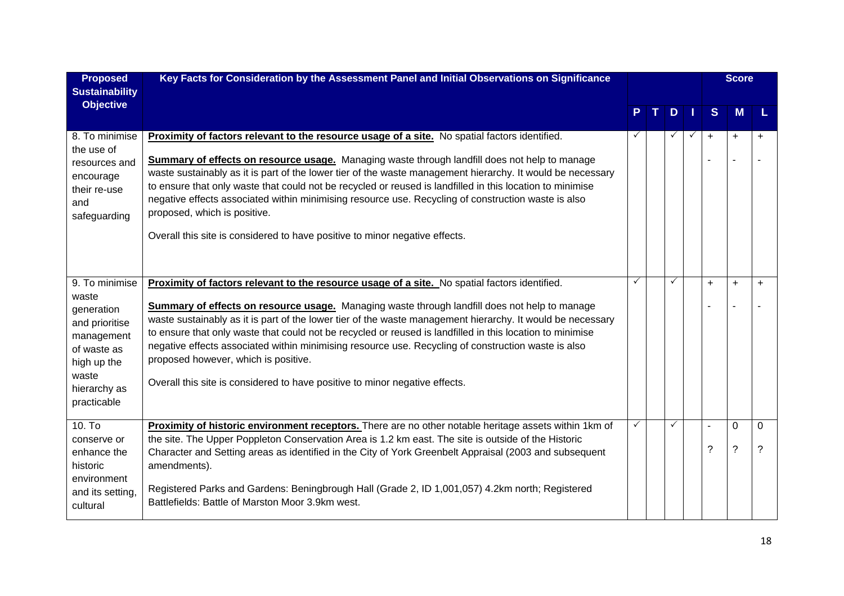| <b>Proposed</b><br><b>Sustainability</b>                                                                                                    | Key Facts for Consideration by the Assessment Panel and Initial Observations on Significance                                                                                                                                                                                                                                                                                                                                                                                                                                                                                                                                                            |              |              |           | <b>Score</b>          |           |
|---------------------------------------------------------------------------------------------------------------------------------------------|---------------------------------------------------------------------------------------------------------------------------------------------------------------------------------------------------------------------------------------------------------------------------------------------------------------------------------------------------------------------------------------------------------------------------------------------------------------------------------------------------------------------------------------------------------------------------------------------------------------------------------------------------------|--------------|--------------|-----------|-----------------------|-----------|
| <b>Objective</b>                                                                                                                            |                                                                                                                                                                                                                                                                                                                                                                                                                                                                                                                                                                                                                                                         |              | D            | S.        | <b>M</b>              |           |
| 8. To minimise<br>the use of<br>resources and<br>encourage<br>their re-use<br>and<br>safeguarding                                           | <b>Proximity of factors relevant to the resource usage of a site.</b> No spatial factors identified.<br>Summary of effects on resource usage. Managing waste through landfill does not help to manage<br>waste sustainably as it is part of the lower tier of the waste management hierarchy. It would be necessary<br>to ensure that only waste that could not be recycled or reused is landfilled in this location to minimise<br>negative effects associated within minimising resource use. Recycling of construction waste is also<br>proposed, which is positive.<br>Overall this site is considered to have positive to minor negative effects.  |              | ✓            | $\ddot{}$ | $+$<br>$\blacksquare$ | $\ddot{}$ |
| 9. To minimise<br>waste<br>generation<br>and prioritise<br>management<br>of waste as<br>high up the<br>waste<br>hierarchy as<br>practicable | Proximity of factors relevant to the resource usage of a site. No spatial factors identified.<br>Summary of effects on resource usage. Managing waste through landfill does not help to manage<br>waste sustainably as it is part of the lower tier of the waste management hierarchy. It would be necessary<br>to ensure that only waste that could not be recycled or reused is landfilled in this location to minimise<br>negative effects associated within minimising resource use. Recycling of construction waste is also<br>proposed however, which is positive.<br>Overall this site is considered to have positive to minor negative effects. | $\checkmark$ | $\checkmark$ | $\ddot{}$ | $\ddot{}$             | $+$       |
| $10.$ To<br>conserve or<br>enhance the<br>historic<br>environment<br>and its setting,<br>cultural                                           | Proximity of historic environment receptors. There are no other notable heritage assets within 1km of<br>the site. The Upper Poppleton Conservation Area is 1.2 km east. The site is outside of the Historic<br>Character and Setting areas as identified in the City of York Greenbelt Appraisal (2003 and subsequent<br>amendments).<br>Registered Parks and Gardens: Beningbrough Hall (Grade 2, ID 1,001,057) 4.2km north; Registered<br>Battlefields: Battle of Marston Moor 3.9km west.                                                                                                                                                           | ✓            | $\checkmark$ | ?         | 0<br>$\tilde{?}$      | 0<br>?    |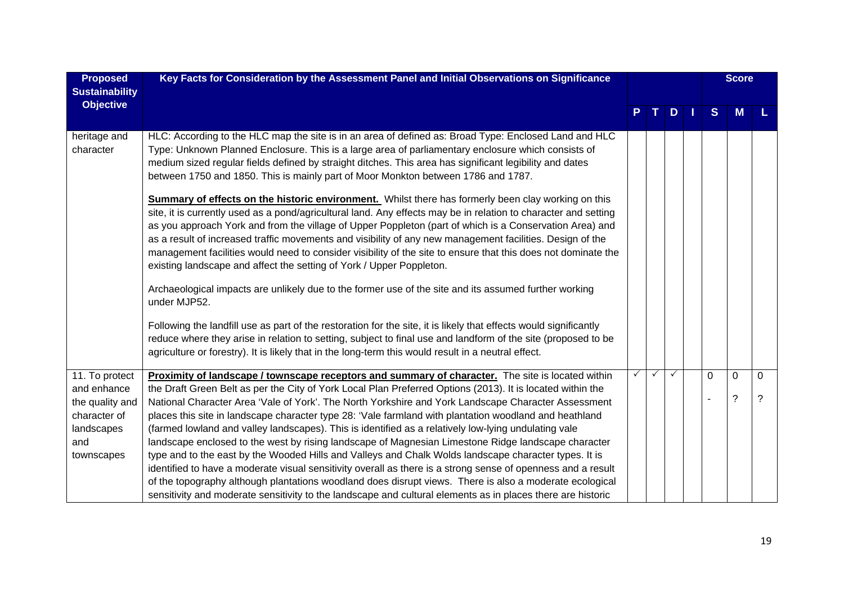| <b>Proposed</b><br><b>Sustainability</b>                                                            | Key Facts for Consideration by the Assessment Panel and Initial Observations on Significance                                                                                                                                                                                                                                                                                                                                                                                                                                                                                                                                                                                                                                                                                                                                                                                                                                                                                                                                                                                                                                                                                                                                                                                                                                                                                                                                                                                                                                        |              |    |              | <b>Score</b>            |                                  |
|-----------------------------------------------------------------------------------------------------|-------------------------------------------------------------------------------------------------------------------------------------------------------------------------------------------------------------------------------------------------------------------------------------------------------------------------------------------------------------------------------------------------------------------------------------------------------------------------------------------------------------------------------------------------------------------------------------------------------------------------------------------------------------------------------------------------------------------------------------------------------------------------------------------------------------------------------------------------------------------------------------------------------------------------------------------------------------------------------------------------------------------------------------------------------------------------------------------------------------------------------------------------------------------------------------------------------------------------------------------------------------------------------------------------------------------------------------------------------------------------------------------------------------------------------------------------------------------------------------------------------------------------------------|--------------|----|--------------|-------------------------|----------------------------------|
| <b>Objective</b>                                                                                    |                                                                                                                                                                                                                                                                                                                                                                                                                                                                                                                                                                                                                                                                                                                                                                                                                                                                                                                                                                                                                                                                                                                                                                                                                                                                                                                                                                                                                                                                                                                                     |              | D. | <sub>S</sub> | <b>M</b>                |                                  |
| heritage and<br>character                                                                           | HLC: According to the HLC map the site is in an area of defined as: Broad Type: Enclosed Land and HLC<br>Type: Unknown Planned Enclosure. This is a large area of parliamentary enclosure which consists of<br>medium sized regular fields defined by straight ditches. This area has significant legibility and dates<br>between 1750 and 1850. This is mainly part of Moor Monkton between 1786 and 1787.<br><b>Summary of effects on the historic environment.</b> Whilst there has formerly been clay working on this<br>site, it is currently used as a pond/agricultural land. Any effects may be in relation to character and setting<br>as you approach York and from the village of Upper Poppleton (part of which is a Conservation Area) and<br>as a result of increased traffic movements and visibility of any new management facilities. Design of the<br>management facilities would need to consider visibility of the site to ensure that this does not dominate the<br>existing landscape and affect the setting of York / Upper Poppleton.<br>Archaeological impacts are unlikely due to the former use of the site and its assumed further working<br>under MJP52.<br>Following the landfill use as part of the restoration for the site, it is likely that effects would significantly<br>reduce where they arise in relation to setting, subject to final use and landform of the site (proposed to be<br>agriculture or forestry). It is likely that in the long-term this would result in a neutral effect. |              |    |              |                         |                                  |
| 11. To protect<br>and enhance<br>the quality and<br>character of<br>landscapes<br>and<br>townscapes | Proximity of landscape / townscape receptors and summary of character. The site is located within<br>the Draft Green Belt as per the City of York Local Plan Preferred Options (2013). It is located within the<br>National Character Area 'Vale of York'. The North Yorkshire and York Landscape Character Assessment<br>places this site in landscape character type 28: 'Vale farmland with plantation woodland and heathland<br>(farmed lowland and valley landscapes). This is identified as a relatively low-lying undulating vale<br>landscape enclosed to the west by rising landscape of Magnesian Limestone Ridge landscape character<br>type and to the east by the Wooded Hills and Valleys and Chalk Wolds landscape character types. It is<br>identified to have a moderate visual sensitivity overall as there is a strong sense of openness and a result<br>of the topography although plantations woodland does disrupt views. There is also a moderate ecological<br>sensitivity and moderate sensitivity to the landscape and cultural elements as in places there are historic                                                                                                                                                                                                                                                                                                                                                                                                                                  | $\checkmark$ |    | 0            | 0<br>$\overline{\cdot}$ | $\overline{0}$<br>$\overline{?}$ |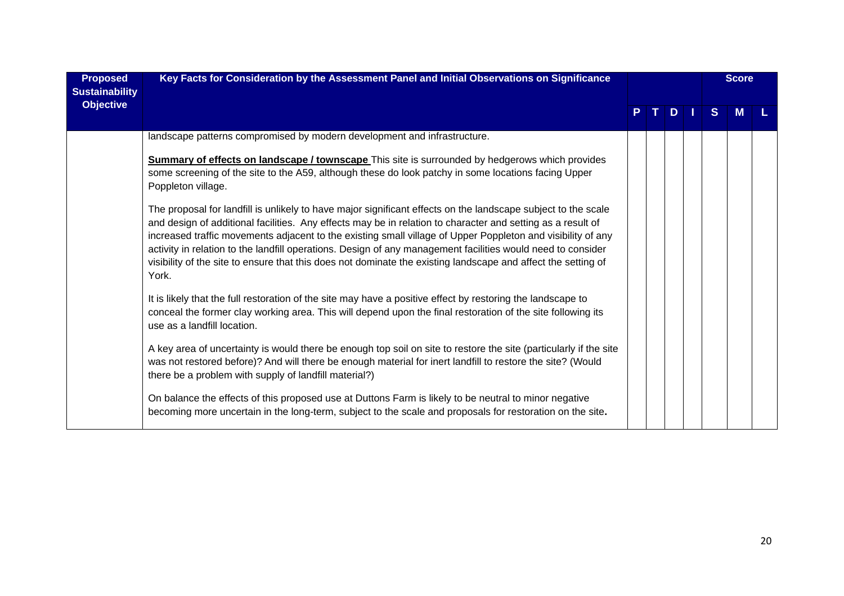| <b>Proposed</b><br><b>Sustainability</b><br><b>Objective</b> | Key Facts for Consideration by the Assessment Panel and Initial Observations on Significance                                                                                                                                                                                                                                                                                                                                                                                                                                                                                         |  | D |  |    | <b>Score</b> |  |
|--------------------------------------------------------------|--------------------------------------------------------------------------------------------------------------------------------------------------------------------------------------------------------------------------------------------------------------------------------------------------------------------------------------------------------------------------------------------------------------------------------------------------------------------------------------------------------------------------------------------------------------------------------------|--|---|--|----|--------------|--|
|                                                              |                                                                                                                                                                                                                                                                                                                                                                                                                                                                                                                                                                                      |  |   |  | S. | м            |  |
|                                                              | landscape patterns compromised by modern development and infrastructure.                                                                                                                                                                                                                                                                                                                                                                                                                                                                                                             |  |   |  |    |              |  |
|                                                              | <b>Summary of effects on landscape / townscape</b> This site is surrounded by hedgerows which provides<br>some screening of the site to the A59, although these do look patchy in some locations facing Upper<br>Poppleton village.                                                                                                                                                                                                                                                                                                                                                  |  |   |  |    |              |  |
|                                                              | The proposal for landfill is unlikely to have major significant effects on the landscape subject to the scale<br>and design of additional facilities. Any effects may be in relation to character and setting as a result of<br>increased traffic movements adjacent to the existing small village of Upper Poppleton and visibility of any<br>activity in relation to the landfill operations. Design of any management facilities would need to consider<br>visibility of the site to ensure that this does not dominate the existing landscape and affect the setting of<br>York. |  |   |  |    |              |  |
|                                                              | It is likely that the full restoration of the site may have a positive effect by restoring the landscape to<br>conceal the former clay working area. This will depend upon the final restoration of the site following its<br>use as a landfill location.                                                                                                                                                                                                                                                                                                                            |  |   |  |    |              |  |
|                                                              | A key area of uncertainty is would there be enough top soil on site to restore the site (particularly if the site<br>was not restored before)? And will there be enough material for inert landfill to restore the site? (Would<br>there be a problem with supply of landfill material?)                                                                                                                                                                                                                                                                                             |  |   |  |    |              |  |
|                                                              | On balance the effects of this proposed use at Duttons Farm is likely to be neutral to minor negative<br>becoming more uncertain in the long-term, subject to the scale and proposals for restoration on the site.                                                                                                                                                                                                                                                                                                                                                                   |  |   |  |    |              |  |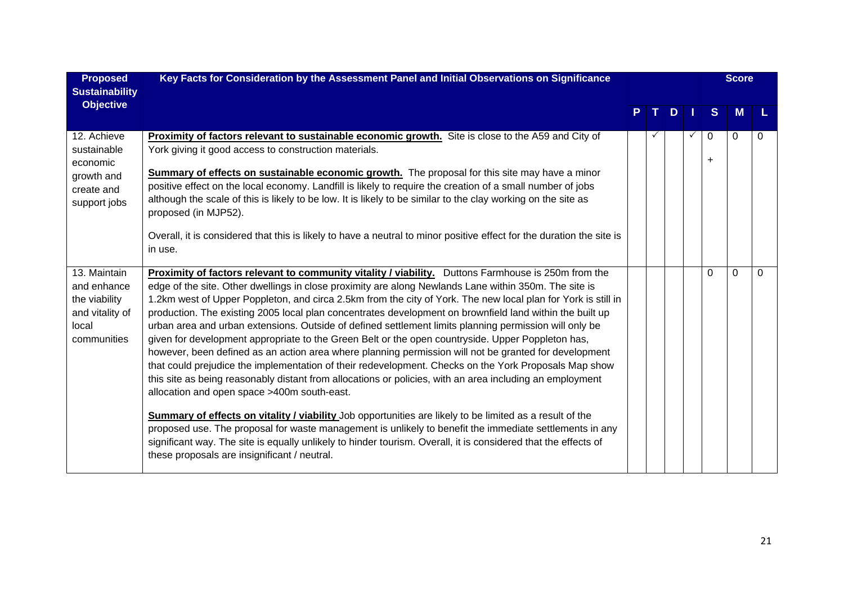| <b>Proposed</b><br><b>Sustainability</b>                                                | Key Facts for Consideration by the Assessment Panel and Initial Observations on Significance                                                                                                                                                                                                                                                                                                                                                                                                                                                                                                                                                                                                                                                                                                                                                                                                                                                                                                                                                                                                                                                                                                                                                                                                                                                                                                                                          |  |    |              |                | <b>Score</b> |          |
|-----------------------------------------------------------------------------------------|---------------------------------------------------------------------------------------------------------------------------------------------------------------------------------------------------------------------------------------------------------------------------------------------------------------------------------------------------------------------------------------------------------------------------------------------------------------------------------------------------------------------------------------------------------------------------------------------------------------------------------------------------------------------------------------------------------------------------------------------------------------------------------------------------------------------------------------------------------------------------------------------------------------------------------------------------------------------------------------------------------------------------------------------------------------------------------------------------------------------------------------------------------------------------------------------------------------------------------------------------------------------------------------------------------------------------------------------------------------------------------------------------------------------------------------|--|----|--------------|----------------|--------------|----------|
| <b>Objective</b>                                                                        |                                                                                                                                                                                                                                                                                                                                                                                                                                                                                                                                                                                                                                                                                                                                                                                                                                                                                                                                                                                                                                                                                                                                                                                                                                                                                                                                                                                                                                       |  | D. |              | <sub>S</sub>   | M            |          |
| 12. Achieve<br>sustainable<br>economic<br>growth and<br>create and<br>support jobs      | Proximity of factors relevant to sustainable economic growth. Site is close to the A59 and City of<br>York giving it good access to construction materials.<br><b>Summary of effects on sustainable economic growth.</b> The proposal for this site may have a minor<br>positive effect on the local economy. Landfill is likely to require the creation of a small number of jobs<br>although the scale of this is likely to be low. It is likely to be similar to the clay working on the site as<br>proposed (in MJP52).<br>Overall, it is considered that this is likely to have a neutral to minor positive effect for the duration the site is<br>in use.                                                                                                                                                                                                                                                                                                                                                                                                                                                                                                                                                                                                                                                                                                                                                                       |  |    | $\checkmark$ | 0<br>$\ddot{}$ | $\Omega$     | $\Omega$ |
| 13. Maintain<br>and enhance<br>the viability<br>and vitality of<br>local<br>communities | Proximity of factors relevant to community vitality / viability. Duttons Farmhouse is 250m from the<br>edge of the site. Other dwellings in close proximity are along Newlands Lane within 350m. The site is<br>1.2km west of Upper Poppleton, and circa 2.5km from the city of York. The new local plan for York is still in<br>production. The existing 2005 local plan concentrates development on brownfield land within the built up<br>urban area and urban extensions. Outside of defined settlement limits planning permission will only be<br>given for development appropriate to the Green Belt or the open countryside. Upper Poppleton has,<br>however, been defined as an action area where planning permission will not be granted for development<br>that could prejudice the implementation of their redevelopment. Checks on the York Proposals Map show<br>this site as being reasonably distant from allocations or policies, with an area including an employment<br>allocation and open space >400m south-east.<br><b>Summary of effects on vitality / viability</b> Job opportunities are likely to be limited as a result of the<br>proposed use. The proposal for waste management is unlikely to benefit the immediate settlements in any<br>significant way. The site is equally unlikely to hinder tourism. Overall, it is considered that the effects of<br>these proposals are insignificant / neutral. |  |    |              | $\Omega$       | $\Omega$     | $\Omega$ |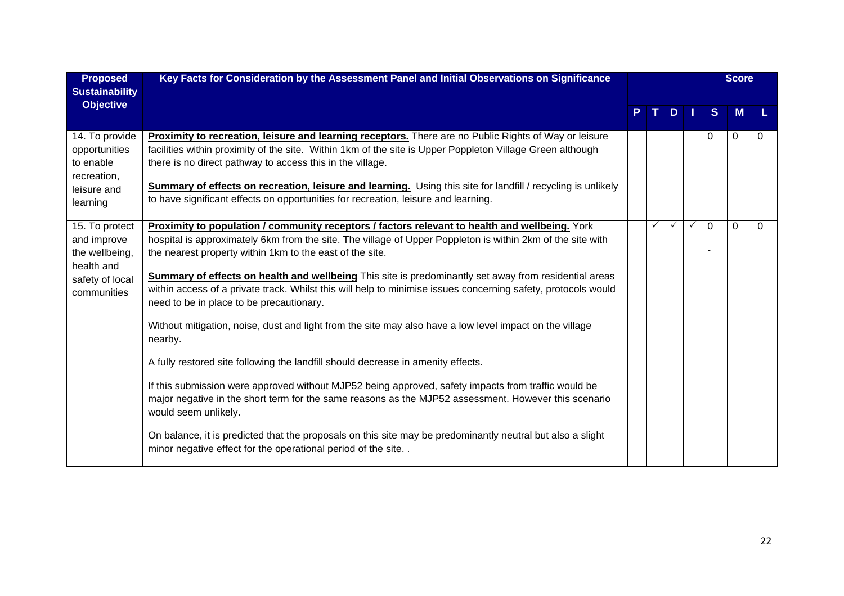| <b>Proposed</b><br><b>Sustainability</b>                                                        | Key Facts for Consideration by the Assessment Panel and Initial Observations on Significance                                                                                                                                                                                                                                                                                                                                                                                                                                                                                                                                                                                                                                                                                                                                                                                                                                                                                                                                                                                                                                                                                                |              |   |              |              | <b>Score</b> |             |
|-------------------------------------------------------------------------------------------------|---------------------------------------------------------------------------------------------------------------------------------------------------------------------------------------------------------------------------------------------------------------------------------------------------------------------------------------------------------------------------------------------------------------------------------------------------------------------------------------------------------------------------------------------------------------------------------------------------------------------------------------------------------------------------------------------------------------------------------------------------------------------------------------------------------------------------------------------------------------------------------------------------------------------------------------------------------------------------------------------------------------------------------------------------------------------------------------------------------------------------------------------------------------------------------------------|--------------|---|--------------|--------------|--------------|-------------|
| <b>Objective</b>                                                                                |                                                                                                                                                                                                                                                                                                                                                                                                                                                                                                                                                                                                                                                                                                                                                                                                                                                                                                                                                                                                                                                                                                                                                                                             |              | D |              | <sub>S</sub> | M            |             |
| 14. To provide<br>opportunities<br>to enable<br>recreation,<br>leisure and<br>learning          | Proximity to recreation, leisure and learning receptors. There are no Public Rights of Way or leisure<br>facilities within proximity of the site. Within 1km of the site is Upper Poppleton Village Green although<br>there is no direct pathway to access this in the village.<br>Summary of effects on recreation, leisure and learning. Using this site for landfill / recycling is unlikely<br>to have significant effects on opportunities for recreation, leisure and learning.                                                                                                                                                                                                                                                                                                                                                                                                                                                                                                                                                                                                                                                                                                       |              |   |              | 0            | 0            | $\Omega$    |
| 15. To protect<br>and improve<br>the wellbeing,<br>health and<br>safety of local<br>communities | <b>Proximity to population / community receptors / factors relevant to health and wellbeing.</b> York<br>hospital is approximately 6km from the site. The village of Upper Poppleton is within 2km of the site with<br>the nearest property within 1km to the east of the site.<br><b>Summary of effects on health and wellbeing</b> This site is predominantly set away from residential areas<br>within access of a private track. Whilst this will help to minimise issues concerning safety, protocols would<br>need to be in place to be precautionary.<br>Without mitigation, noise, dust and light from the site may also have a low level impact on the village<br>nearby.<br>A fully restored site following the landfill should decrease in amenity effects.<br>If this submission were approved without MJP52 being approved, safety impacts from traffic would be<br>major negative in the short term for the same reasons as the MJP52 assessment. However this scenario<br>would seem unlikely.<br>On balance, it is predicted that the proposals on this site may be predominantly neutral but also a slight<br>minor negative effect for the operational period of the site | $\checkmark$ |   | $\checkmark$ | $\Omega$     | $\Omega$     | $\mathbf 0$ |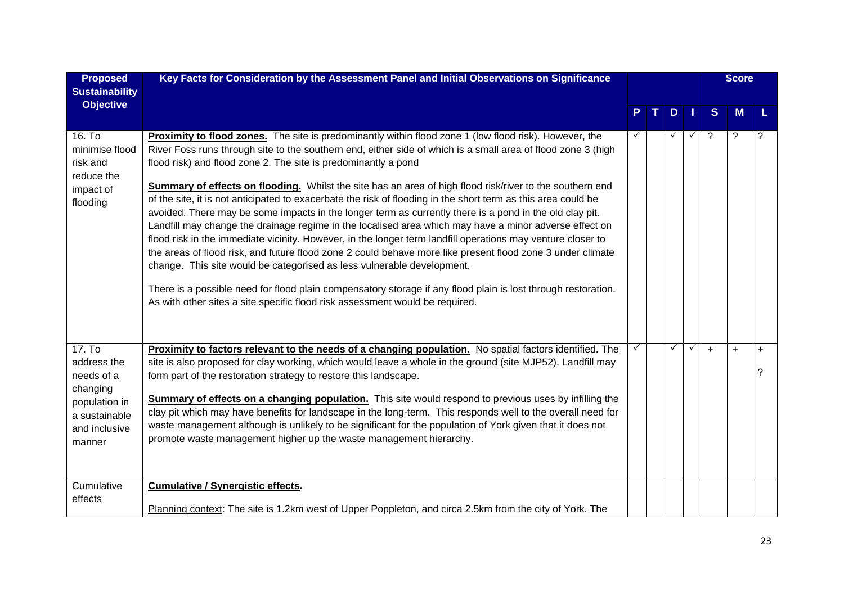| <b>Proposed</b><br><b>Sustainability</b>                                                                                 | Key Facts for Consideration by the Assessment Panel and Initial Observations on Significance                                                                                                                                                                                                                                                                                                                                                                                                                                                                                                                                                                                                                                                                                                                                                                                                                                                                                                                                                                                                                                                                                                                                                                     |   |   |              |              |              | <b>Score</b> |          |
|--------------------------------------------------------------------------------------------------------------------------|------------------------------------------------------------------------------------------------------------------------------------------------------------------------------------------------------------------------------------------------------------------------------------------------------------------------------------------------------------------------------------------------------------------------------------------------------------------------------------------------------------------------------------------------------------------------------------------------------------------------------------------------------------------------------------------------------------------------------------------------------------------------------------------------------------------------------------------------------------------------------------------------------------------------------------------------------------------------------------------------------------------------------------------------------------------------------------------------------------------------------------------------------------------------------------------------------------------------------------------------------------------|---|---|--------------|--------------|--------------|--------------|----------|
| <b>Objective</b>                                                                                                         |                                                                                                                                                                                                                                                                                                                                                                                                                                                                                                                                                                                                                                                                                                                                                                                                                                                                                                                                                                                                                                                                                                                                                                                                                                                                  |   | т | D            |              | <sub>S</sub> | M            |          |
| 16. To<br>minimise flood<br>risk and<br>reduce the<br>impact of<br>flooding                                              | <b>Proximity to flood zones.</b> The site is predominantly within flood zone 1 (low flood risk). However, the<br>River Foss runs through site to the southern end, either side of which is a small area of flood zone 3 (high<br>flood risk) and flood zone 2. The site is predominantly a pond<br><b>Summary of effects on flooding.</b> Whilst the site has an area of high flood risk/river to the southern end<br>of the site, it is not anticipated to exacerbate the risk of flooding in the short term as this area could be<br>avoided. There may be some impacts in the longer term as currently there is a pond in the old clay pit.<br>Landfill may change the drainage regime in the localised area which may have a minor adverse effect on<br>flood risk in the immediate vicinity. However, in the longer term landfill operations may venture closer to<br>the areas of flood risk, and future flood zone 2 could behave more like present flood zone 3 under climate<br>change. This site would be categorised as less vulnerable development.<br>There is a possible need for flood plain compensatory storage if any flood plain is lost through restoration.<br>As with other sites a site specific flood risk assessment would be required. |   |   |              |              | ?            | $\tilde{?}$  |          |
| 17. T <sub>0</sub><br>address the<br>needs of a<br>changing<br>population in<br>a sustainable<br>and inclusive<br>manner | Proximity to factors relevant to the needs of a changing population. No spatial factors identified. The<br>site is also proposed for clay working, which would leave a whole in the ground (site MJP52). Landfill may<br>form part of the restoration strategy to restore this landscape.<br><b>Summary of effects on a changing population.</b> This site would respond to previous uses by infilling the<br>clay pit which may have benefits for landscape in the long-term. This responds well to the overall need for<br>waste management although is unlikely to be significant for the population of York given that it does not<br>promote waste management higher up the waste management hierarchy.                                                                                                                                                                                                                                                                                                                                                                                                                                                                                                                                                     | ✓ |   | $\checkmark$ | $\checkmark$ | $+$          | $\ddot{}$    | $+$<br>? |
| Cumulative<br>effects                                                                                                    | <b>Cumulative / Synergistic effects.</b><br>Planning context: The site is 1.2km west of Upper Poppleton, and circa 2.5km from the city of York. The                                                                                                                                                                                                                                                                                                                                                                                                                                                                                                                                                                                                                                                                                                                                                                                                                                                                                                                                                                                                                                                                                                              |   |   |              |              |              |              |          |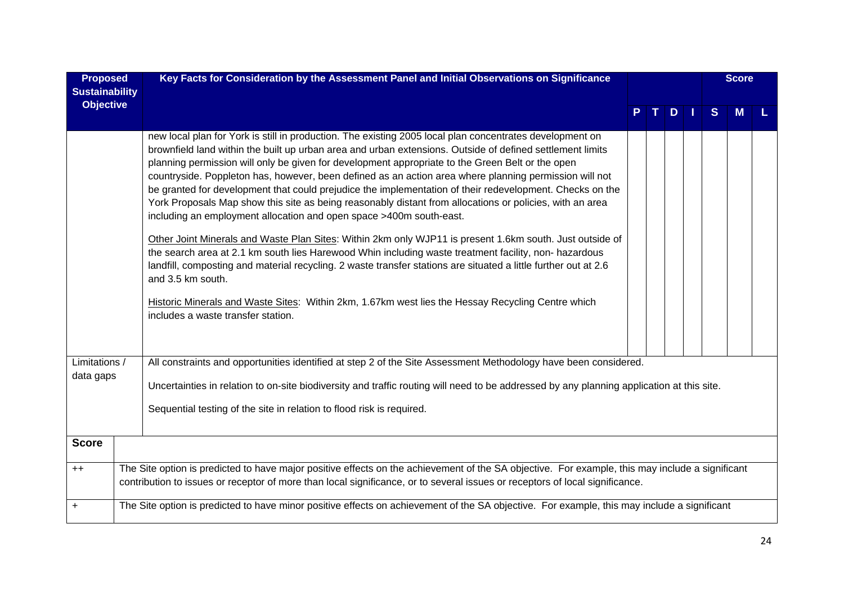| <b>Proposed</b>       | Key Facts for Consideration by the Assessment Panel and Initial Observations on Significance                                                                                                                                                                                                                                                                                                                                                                                                                                                                                                                                                                                                                                                                                                                                                                                                                                                                                                                                                                                                                                                                                                                                               |  |     |              | <b>Score</b> |  |
|-----------------------|--------------------------------------------------------------------------------------------------------------------------------------------------------------------------------------------------------------------------------------------------------------------------------------------------------------------------------------------------------------------------------------------------------------------------------------------------------------------------------------------------------------------------------------------------------------------------------------------------------------------------------------------------------------------------------------------------------------------------------------------------------------------------------------------------------------------------------------------------------------------------------------------------------------------------------------------------------------------------------------------------------------------------------------------------------------------------------------------------------------------------------------------------------------------------------------------------------------------------------------------|--|-----|--------------|--------------|--|
| <b>Sustainability</b> |                                                                                                                                                                                                                                                                                                                                                                                                                                                                                                                                                                                                                                                                                                                                                                                                                                                                                                                                                                                                                                                                                                                                                                                                                                            |  |     |              |              |  |
| <b>Objective</b>      |                                                                                                                                                                                                                                                                                                                                                                                                                                                                                                                                                                                                                                                                                                                                                                                                                                                                                                                                                                                                                                                                                                                                                                                                                                            |  | $D$ | <sub>S</sub> | M            |  |
|                       | new local plan for York is still in production. The existing 2005 local plan concentrates development on<br>brownfield land within the built up urban area and urban extensions. Outside of defined settlement limits<br>planning permission will only be given for development appropriate to the Green Belt or the open<br>countryside. Poppleton has, however, been defined as an action area where planning permission will not<br>be granted for development that could prejudice the implementation of their redevelopment. Checks on the<br>York Proposals Map show this site as being reasonably distant from allocations or policies, with an area<br>including an employment allocation and open space >400m south-east.<br>Other Joint Minerals and Waste Plan Sites: Within 2km only WJP11 is present 1.6km south. Just outside of<br>the search area at 2.1 km south lies Harewood Whin including waste treatment facility, non- hazardous<br>landfill, composting and material recycling. 2 waste transfer stations are situated a little further out at 2.6<br>and 3.5 km south.<br>Historic Minerals and Waste Sites: Within 2km, 1.67km west lies the Hessay Recycling Centre which<br>includes a waste transfer station. |  |     |              |              |  |
|                       |                                                                                                                                                                                                                                                                                                                                                                                                                                                                                                                                                                                                                                                                                                                                                                                                                                                                                                                                                                                                                                                                                                                                                                                                                                            |  |     |              |              |  |
| Limitations /         | All constraints and opportunities identified at step 2 of the Site Assessment Methodology have been considered.                                                                                                                                                                                                                                                                                                                                                                                                                                                                                                                                                                                                                                                                                                                                                                                                                                                                                                                                                                                                                                                                                                                            |  |     |              |              |  |
| data gaps             | Uncertainties in relation to on-site biodiversity and traffic routing will need to be addressed by any planning application at this site.                                                                                                                                                                                                                                                                                                                                                                                                                                                                                                                                                                                                                                                                                                                                                                                                                                                                                                                                                                                                                                                                                                  |  |     |              |              |  |
|                       | Sequential testing of the site in relation to flood risk is required.                                                                                                                                                                                                                                                                                                                                                                                                                                                                                                                                                                                                                                                                                                                                                                                                                                                                                                                                                                                                                                                                                                                                                                      |  |     |              |              |  |
| <b>Score</b>          |                                                                                                                                                                                                                                                                                                                                                                                                                                                                                                                                                                                                                                                                                                                                                                                                                                                                                                                                                                                                                                                                                                                                                                                                                                            |  |     |              |              |  |
| $++$                  | The Site option is predicted to have major positive effects on the achievement of the SA objective. For example, this may include a significant<br>contribution to issues or receptor of more than local significance, or to several issues or receptors of local significance.                                                                                                                                                                                                                                                                                                                                                                                                                                                                                                                                                                                                                                                                                                                                                                                                                                                                                                                                                            |  |     |              |              |  |
| $\ddot{}$             | The Site option is predicted to have minor positive effects on achievement of the SA objective. For example, this may include a significant                                                                                                                                                                                                                                                                                                                                                                                                                                                                                                                                                                                                                                                                                                                                                                                                                                                                                                                                                                                                                                                                                                |  |     |              |              |  |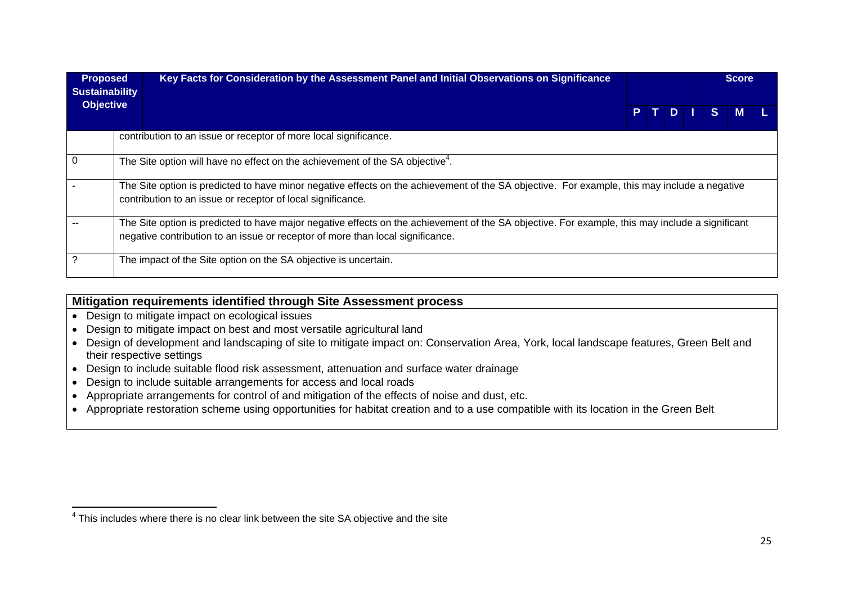| <b>Proposed</b><br><b>Sustainability</b> | Key Facts for Consideration by the Assessment Panel and Initial Observations on Significance                                                                                                                                      |      |  |    | <b>Score</b> |  |
|------------------------------------------|-----------------------------------------------------------------------------------------------------------------------------------------------------------------------------------------------------------------------------------|------|--|----|--------------|--|
| <b>Objective</b>                         |                                                                                                                                                                                                                                   | PTDI |  | S. | M            |  |
|                                          | contribution to an issue or receptor of more local significance.                                                                                                                                                                  |      |  |    |              |  |
| 0                                        | The Site option will have no effect on the achievement of the SA objective <sup>4</sup> .                                                                                                                                         |      |  |    |              |  |
|                                          | The Site option is predicted to have minor negative effects on the achievement of the SA objective. For example, this may include a negative<br>contribution to an issue or receptor of local significance.                       |      |  |    |              |  |
|                                          | The Site option is predicted to have major negative effects on the achievement of the SA objective. For example, this may include a significant<br>negative contribution to an issue or receptor of more than local significance. |      |  |    |              |  |
|                                          | The impact of the Site option on the SA objective is uncertain.                                                                                                                                                                   |      |  |    |              |  |

#### **Mitigation requirements identified through Site Assessment process**

- Design to mitigate impact on ecological issues
- Design to mitigate impact on best and most versatile agricultural land
- Design of development and landscaping of site to mitigate impact on: Conservation Area, York, local landscape features, Green Belt and their respective settings
- Design to include suitable flood risk assessment, attenuation and surface water drainage
- Design to include suitable arrangements for access and local roads
- Appropriate arrangements for control of and mitigation of the effects of noise and dust, etc.
- Appropriate restoration scheme using opportunities for habitat creation and to a use compatible with its location in the Green Belt

<sup>&</sup>lt;sup>4</sup> This includes where there is no clear link between the site SA objective and the site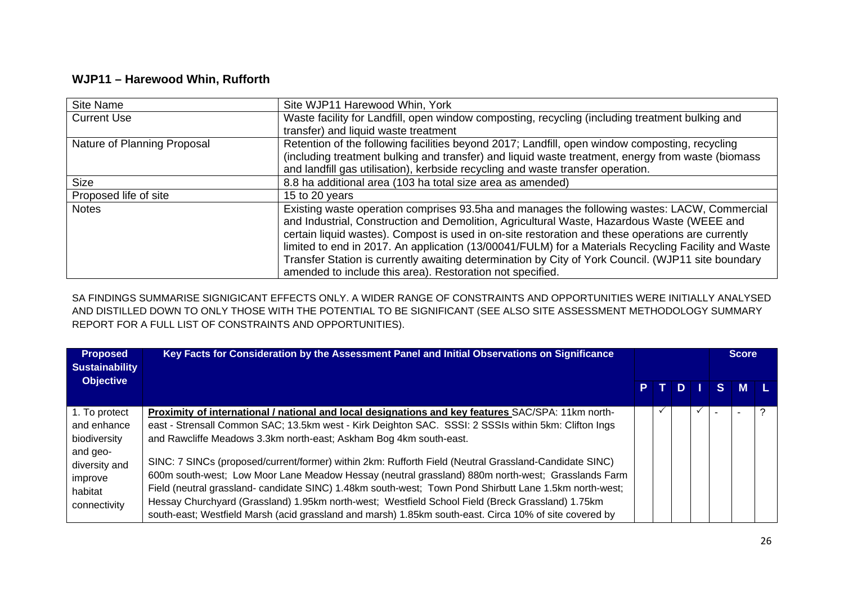## **WJP11 – Harewood Whin, Rufforth**

| Site Name                   | Site WJP11 Harewood Whin, York                                                                      |
|-----------------------------|-----------------------------------------------------------------------------------------------------|
| <b>Current Use</b>          | Waste facility for Landfill, open window composting, recycling (including treatment bulking and     |
|                             | transfer) and liquid waste treatment                                                                |
| Nature of Planning Proposal | Retention of the following facilities beyond 2017; Landfill, open window composting, recycling      |
|                             | (including treatment bulking and transfer) and liquid waste treatment, energy from waste (biomass   |
|                             | and landfill gas utilisation), kerbside recycling and waste transfer operation.                     |
| <b>Size</b>                 | 8.8 ha additional area (103 ha total size area as amended)                                          |
| Proposed life of site       | 15 to 20 years                                                                                      |
| <b>Notes</b>                | Existing waste operation comprises 93.5ha and manages the following wastes: LACW, Commercial        |
|                             | and Industrial, Construction and Demolition, Agricultural Waste, Hazardous Waste (WEEE and          |
|                             | certain liquid wastes). Compost is used in on-site restoration and these operations are currently   |
|                             | limited to end in 2017. An application (13/00041/FULM) for a Materials Recycling Facility and Waste |
|                             | Transfer Station is currently awaiting determination by City of York Council. (WJP11 site boundary  |
|                             | amended to include this area). Restoration not specified.                                           |

SA FINDINGS SUMMARISE SIGNIGICANT EFFECTS ONLY. A WIDER RANGE OF CONSTRAINTS AND OPPORTUNITIES WERE INITIALLY ANALYSED AND DISTILLED DOWN TO ONLY THOSE WITH THE POTENTIAL TO BE SIGNIFICANT (SEE ALSO SITE ASSESSMENT METHODOLOGY SUMMARY REPORT FOR A FULL LIST OF CONSTRAINTS AND OPPORTUNITIES).

| <b>Proposed</b><br><b>Sustainability</b>                        | Key Facts for Consideration by the Assessment Panel and Initial Observations on Significance                                                                                                                                                                                                                                                                                                                                                                                                                                       |  |      |   | <b>Score</b> |  |
|-----------------------------------------------------------------|------------------------------------------------------------------------------------------------------------------------------------------------------------------------------------------------------------------------------------------------------------------------------------------------------------------------------------------------------------------------------------------------------------------------------------------------------------------------------------------------------------------------------------|--|------|---|--------------|--|
| <b>Objective</b>                                                |                                                                                                                                                                                                                                                                                                                                                                                                                                                                                                                                    |  | PTDI |   | S M L        |  |
| 1. To protect                                                   | Proximity of international / national and local designations and key features SAC/SPA: 11km north-                                                                                                                                                                                                                                                                                                                                                                                                                                 |  |      | ✓ |              |  |
| and enhance                                                     | east - Strensall Common SAC; 13.5km west - Kirk Deighton SAC. SSSI: 2 SSSIs within 5km: Clifton Ings                                                                                                                                                                                                                                                                                                                                                                                                                               |  |      |   |              |  |
| biodiversity                                                    | and Rawcliffe Meadows 3.3km north-east; Askham Bog 4km south-east.                                                                                                                                                                                                                                                                                                                                                                                                                                                                 |  |      |   |              |  |
| and geo-<br>diversity and<br>improve<br>habitat<br>connectivity | SINC: 7 SINCs (proposed/current/former) within 2km: Rufforth Field (Neutral Grassland-Candidate SINC)<br>600m south-west; Low Moor Lane Meadow Hessay (neutral grassland) 880m north-west; Grasslands Farm<br>Field (neutral grassland- candidate SINC) 1.48km south-west; Town Pond Shirbutt Lane 1.5km north-west;<br>Hessay Churchyard (Grassland) 1.95km north-west; Westfield School Field (Breck Grassland) 1.75km<br>south-east; Westfield Marsh (acid grassland and marsh) 1.85km south-east. Circa 10% of site covered by |  |      |   |              |  |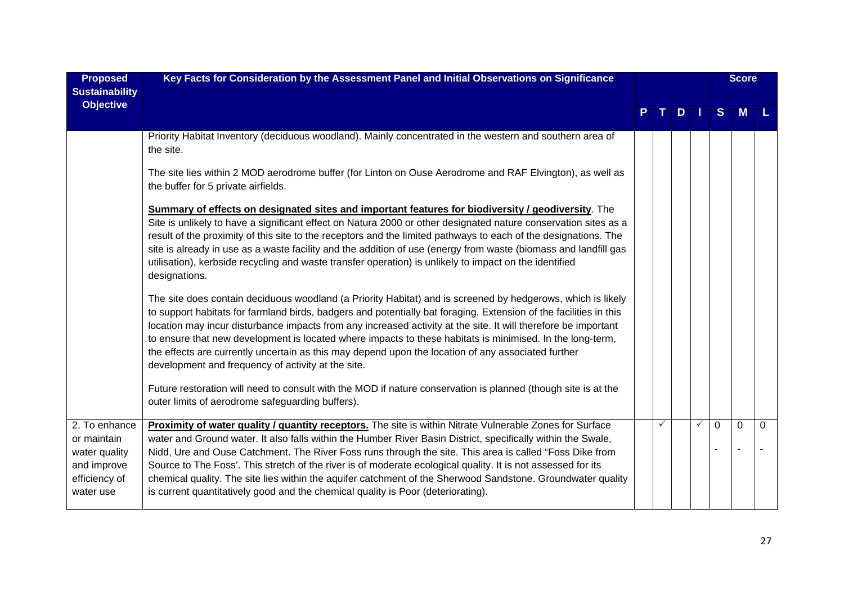| <b>Proposed</b><br><b>Sustainability</b>                                                   | Key Facts for Consideration by the Assessment Panel and Initial Observations on Significance                                                                                                                                                                                                                                                                                                                                                                                                                                                                                                                                                           |  |   |              |                | <b>Score</b> |          |
|--------------------------------------------------------------------------------------------|--------------------------------------------------------------------------------------------------------------------------------------------------------------------------------------------------------------------------------------------------------------------------------------------------------------------------------------------------------------------------------------------------------------------------------------------------------------------------------------------------------------------------------------------------------------------------------------------------------------------------------------------------------|--|---|--------------|----------------|--------------|----------|
| <b>Objective</b>                                                                           |                                                                                                                                                                                                                                                                                                                                                                                                                                                                                                                                                                                                                                                        |  | D |              | S              | <b>M</b>     |          |
|                                                                                            | Priority Habitat Inventory (deciduous woodland). Mainly concentrated in the western and southern area of<br>the site.                                                                                                                                                                                                                                                                                                                                                                                                                                                                                                                                  |  |   |              |                |              |          |
|                                                                                            | The site lies within 2 MOD aerodrome buffer (for Linton on Ouse Aerodrome and RAF Elvington), as well as<br>the buffer for 5 private airfields.                                                                                                                                                                                                                                                                                                                                                                                                                                                                                                        |  |   |              |                |              |          |
|                                                                                            | Summary of effects on designated sites and important features for biodiversity / geodiversity. The<br>Site is unlikely to have a significant effect on Natura 2000 or other designated nature conservation sites as a<br>result of the proximity of this site to the receptors and the limited pathways to each of the designations. The<br>site is already in use as a waste facility and the addition of use (energy from waste (biomass and landfill gas<br>utilisation), kerbside recycling and waste transfer operation) is unlikely to impact on the identified<br>designations.                                                                 |  |   |              |                |              |          |
|                                                                                            | The site does contain deciduous woodland (a Priority Habitat) and is screened by hedgerows, which is likely<br>to support habitats for farmland birds, badgers and potentially bat foraging. Extension of the facilities in this<br>location may incur disturbance impacts from any increased activity at the site. It will therefore be important<br>to ensure that new development is located where impacts to these habitats is minimised. In the long-term,<br>the effects are currently uncertain as this may depend upon the location of any associated further<br>development and frequency of activity at the site.                            |  |   |              |                |              |          |
|                                                                                            | Future restoration will need to consult with the MOD if nature conservation is planned (though site is at the<br>outer limits of aerodrome safeguarding buffers).                                                                                                                                                                                                                                                                                                                                                                                                                                                                                      |  |   |              |                |              |          |
| 2. To enhance<br>or maintain<br>water quality<br>and improve<br>efficiency of<br>water use | Proximity of water quality / quantity receptors. The site is within Nitrate Vulnerable Zones for Surface<br>water and Ground water. It also falls within the Humber River Basin District, specifically within the Swale,<br>Nidd, Ure and Ouse Catchment. The River Foss runs through the site. This area is called "Foss Dike from<br>Source to The Foss'. This stretch of the river is of moderate ecological quality. It is not assessed for its<br>chemical quality. The site lies within the aquifer catchment of the Sherwood Sandstone. Groundwater quality<br>is current quantitatively good and the chemical quality is Poor (deteriorating). |  |   | $\checkmark$ | $\overline{0}$ | $\mathbf 0$  | $\Omega$ |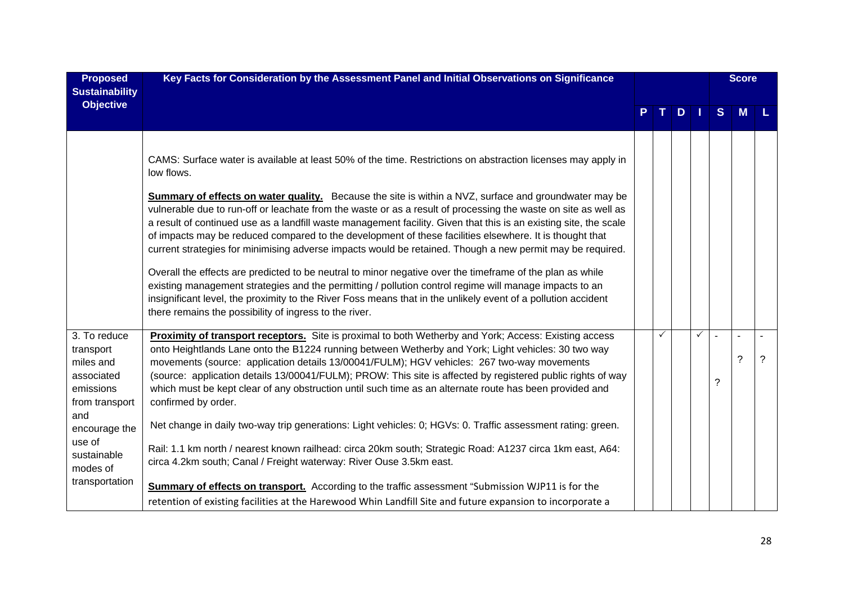| <b>Proposed</b><br><b>Sustainability</b>                                                                                                                           | Key Facts for Consideration by the Assessment Panel and Initial Observations on Significance                                                                                                                                                                                                                                                                                                                                                                                                                                                                                                                                                                                                                                                                                                                                                                                                                                                                                                                                                                                                                |   |               |   |   | <b>Score</b> |   |
|--------------------------------------------------------------------------------------------------------------------------------------------------------------------|-------------------------------------------------------------------------------------------------------------------------------------------------------------------------------------------------------------------------------------------------------------------------------------------------------------------------------------------------------------------------------------------------------------------------------------------------------------------------------------------------------------------------------------------------------------------------------------------------------------------------------------------------------------------------------------------------------------------------------------------------------------------------------------------------------------------------------------------------------------------------------------------------------------------------------------------------------------------------------------------------------------------------------------------------------------------------------------------------------------|---|---------------|---|---|--------------|---|
| <b>Objective</b>                                                                                                                                                   |                                                                                                                                                                                                                                                                                                                                                                                                                                                                                                                                                                                                                                                                                                                                                                                                                                                                                                                                                                                                                                                                                                             |   | $T$ D $\perp$ |   | S | M            |   |
|                                                                                                                                                                    | CAMS: Surface water is available at least 50% of the time. Restrictions on abstraction licenses may apply in<br>low flows.<br><b>Summary of effects on water quality.</b> Because the site is within a NVZ, surface and groundwater may be<br>vulnerable due to run-off or leachate from the waste or as a result of processing the waste on site as well as<br>a result of continued use as a landfill waste management facility. Given that this is an existing site, the scale<br>of impacts may be reduced compared to the development of these facilities elsewhere. It is thought that<br>current strategies for minimising adverse impacts would be retained. Though a new permit may be required.<br>Overall the effects are predicted to be neutral to minor negative over the timeframe of the plan as while<br>existing management strategies and the permitting / pollution control regime will manage impacts to an<br>insignificant level, the proximity to the River Foss means that in the unlikely event of a pollution accident<br>there remains the possibility of ingress to the river. |   |               |   |   |              |   |
| 3. To reduce<br>transport<br>miles and<br>associated<br>emissions<br>from transport<br>and<br>encourage the<br>use of<br>sustainable<br>modes of<br>transportation | Proximity of transport receptors. Site is proximal to both Wetherby and York; Access: Existing access<br>onto Heightlands Lane onto the B1224 running between Wetherby and York; Light vehicles: 30 two way<br>movements (source: application details 13/00041/FULM); HGV vehicles: 267 two-way movements<br>(source: application details 13/00041/FULM); PROW: This site is affected by registered public rights of way<br>which must be kept clear of any obstruction until such time as an alternate route has been provided and<br>confirmed by order.<br>Net change in daily two-way trip generations: Light vehicles: 0; HGVs: 0. Traffic assessment rating: green.<br>Rail: 1.1 km north / nearest known railhead: circa 20km south; Strategic Road: A1237 circa 1km east, A64:<br>circa 4.2km south; Canal / Freight waterway: River Ouse 3.5km east.<br><b>Summary of effects on transport.</b> According to the traffic assessment "Submission WJP11 is for the<br>retention of existing facilities at the Harewood Whin Landfill Site and future expansion to incorporate a                      | ✓ |               | ✓ | ? | ?            | ? |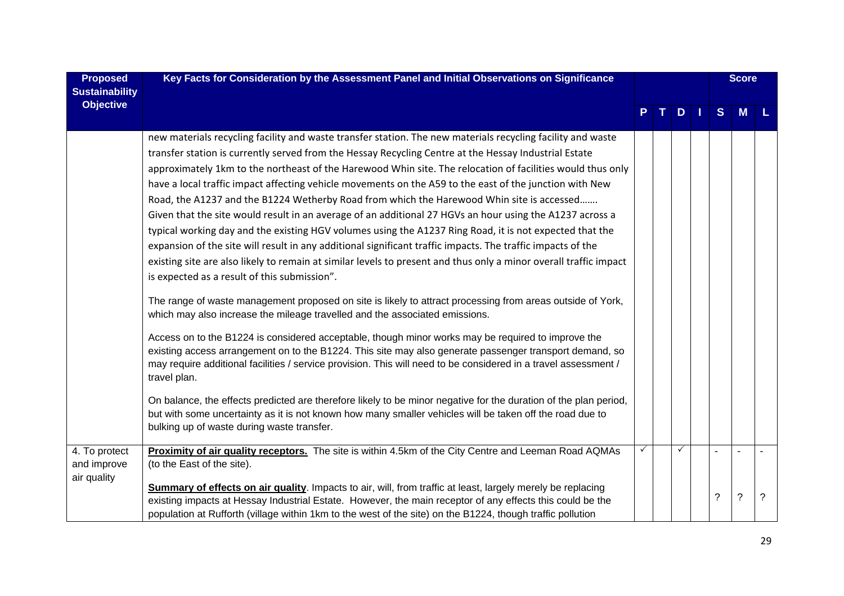| <b>Proposed</b><br><b>Sustainability</b>    | Key Facts for Consideration by the Assessment Panel and Initial Observations on Significance                                                                                                                                                                                                                                                                                                                                                                                                                                                                                                                                                                                                                                                                                                                                                                                                                                                                                                                                                                                                                                                                                                                                                                                                                                                                                                                                                                                                                                                                                                                                                                                                                                                                                                                                                                                         |   |   |   | <b>Score</b> |   |
|---------------------------------------------|--------------------------------------------------------------------------------------------------------------------------------------------------------------------------------------------------------------------------------------------------------------------------------------------------------------------------------------------------------------------------------------------------------------------------------------------------------------------------------------------------------------------------------------------------------------------------------------------------------------------------------------------------------------------------------------------------------------------------------------------------------------------------------------------------------------------------------------------------------------------------------------------------------------------------------------------------------------------------------------------------------------------------------------------------------------------------------------------------------------------------------------------------------------------------------------------------------------------------------------------------------------------------------------------------------------------------------------------------------------------------------------------------------------------------------------------------------------------------------------------------------------------------------------------------------------------------------------------------------------------------------------------------------------------------------------------------------------------------------------------------------------------------------------------------------------------------------------------------------------------------------------|---|---|---|--------------|---|
| <b>Objective</b>                            |                                                                                                                                                                                                                                                                                                                                                                                                                                                                                                                                                                                                                                                                                                                                                                                                                                                                                                                                                                                                                                                                                                                                                                                                                                                                                                                                                                                                                                                                                                                                                                                                                                                                                                                                                                                                                                                                                      |   | D | S | M            |   |
|                                             | new materials recycling facility and waste transfer station. The new materials recycling facility and waste<br>transfer station is currently served from the Hessay Recycling Centre at the Hessay Industrial Estate<br>approximately 1km to the northeast of the Harewood Whin site. The relocation of facilities would thus only<br>have a local traffic impact affecting vehicle movements on the A59 to the east of the junction with New<br>Road, the A1237 and the B1224 Wetherby Road from which the Harewood Whin site is accessed<br>Given that the site would result in an average of an additional 27 HGVs an hour using the A1237 across a<br>typical working day and the existing HGV volumes using the A1237 Ring Road, it is not expected that the<br>expansion of the site will result in any additional significant traffic impacts. The traffic impacts of the<br>existing site are also likely to remain at similar levels to present and thus only a minor overall traffic impact<br>is expected as a result of this submission".<br>The range of waste management proposed on site is likely to attract processing from areas outside of York,<br>which may also increase the mileage travelled and the associated emissions.<br>Access on to the B1224 is considered acceptable, though minor works may be required to improve the<br>existing access arrangement on to the B1224. This site may also generate passenger transport demand, so<br>may require additional facilities / service provision. This will need to be considered in a travel assessment /<br>travel plan.<br>On balance, the effects predicted are therefore likely to be minor negative for the duration of the plan period,<br>but with some uncertainty as it is not known how many smaller vehicles will be taken off the road due to<br>bulking up of waste during waste transfer. |   |   |   |              |   |
| 4. To protect<br>and improve<br>air quality | Proximity of air quality receptors. The site is within 4.5km of the City Centre and Leeman Road AQMAs<br>(to the East of the site).                                                                                                                                                                                                                                                                                                                                                                                                                                                                                                                                                                                                                                                                                                                                                                                                                                                                                                                                                                                                                                                                                                                                                                                                                                                                                                                                                                                                                                                                                                                                                                                                                                                                                                                                                  | ✓ | ✓ |   |              |   |
|                                             | Summary of effects on air quality. Impacts to air, will, from traffic at least, largely merely be replacing<br>existing impacts at Hessay Industrial Estate. However, the main receptor of any effects this could be the<br>population at Rufforth (village within 1km to the west of the site) on the B1224, though traffic pollution                                                                                                                                                                                                                                                                                                                                                                                                                                                                                                                                                                                                                                                                                                                                                                                                                                                                                                                                                                                                                                                                                                                                                                                                                                                                                                                                                                                                                                                                                                                                               |   |   | ? | $\ddot{?}$   | ? |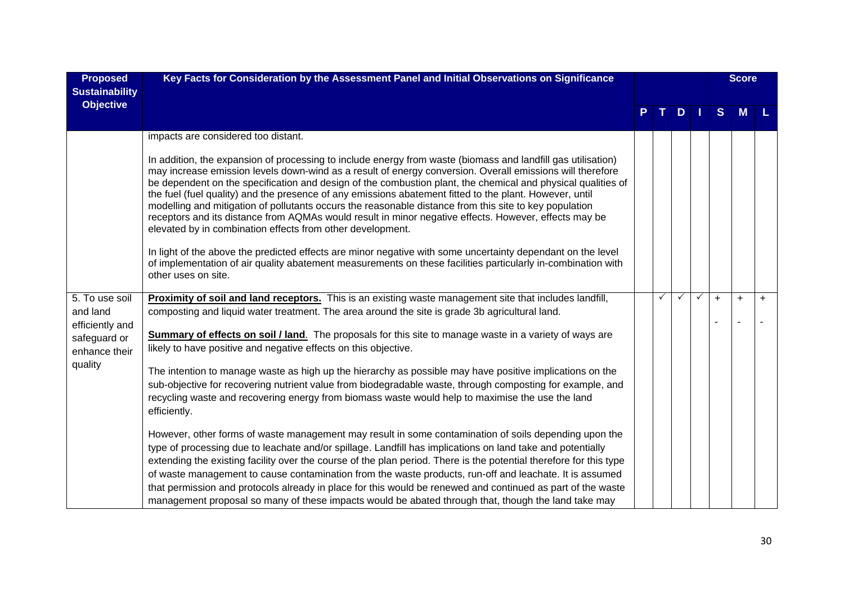| <b>Proposed</b><br><b>Sustainability</b>                                                  | Key Facts for Consideration by the Assessment Panel and Initial Observations on Significance                                                                                                                                                                                                                                                                                                                                                                                                                                                                                                                                                                                                                                                                                                                                                                                                                                                                                                                                                                                                                                                                                                                                                                                                                                                                                                                       |   |              |   |              | <b>Score</b> |     |
|-------------------------------------------------------------------------------------------|--------------------------------------------------------------------------------------------------------------------------------------------------------------------------------------------------------------------------------------------------------------------------------------------------------------------------------------------------------------------------------------------------------------------------------------------------------------------------------------------------------------------------------------------------------------------------------------------------------------------------------------------------------------------------------------------------------------------------------------------------------------------------------------------------------------------------------------------------------------------------------------------------------------------------------------------------------------------------------------------------------------------------------------------------------------------------------------------------------------------------------------------------------------------------------------------------------------------------------------------------------------------------------------------------------------------------------------------------------------------------------------------------------------------|---|--------------|---|--------------|--------------|-----|
| <b>Objective</b>                                                                          |                                                                                                                                                                                                                                                                                                                                                                                                                                                                                                                                                                                                                                                                                                                                                                                                                                                                                                                                                                                                                                                                                                                                                                                                                                                                                                                                                                                                                    |   | $D$   1      |   | <sub>S</sub> | M            |     |
|                                                                                           | impacts are considered too distant.<br>In addition, the expansion of processing to include energy from waste (biomass and landfill gas utilisation)<br>may increase emission levels down-wind as a result of energy conversion. Overall emissions will therefore<br>be dependent on the specification and design of the combustion plant, the chemical and physical qualities of<br>the fuel (fuel quality) and the presence of any emissions abatement fitted to the plant. However, until<br>modelling and mitigation of pollutants occurs the reasonable distance from this site to key population<br>receptors and its distance from AQMAs would result in minor negative effects. However, effects may be<br>elevated by in combination effects from other development.<br>In light of the above the predicted effects are minor negative with some uncertainty dependant on the level<br>of implementation of air quality abatement measurements on these facilities particularly in-combination with<br>other uses on site.                                                                                                                                                                                                                                                                                                                                                                                 |   |              |   |              |              |     |
| 5. To use soil<br>and land<br>efficiently and<br>safeguard or<br>enhance their<br>quality | Proximity of soil and land receptors. This is an existing waste management site that includes landfill,<br>composting and liquid water treatment. The area around the site is grade 3b agricultural land.<br>Summary of effects on soil / land. The proposals for this site to manage waste in a variety of ways are<br>likely to have positive and negative effects on this objective.<br>The intention to manage waste as high up the hierarchy as possible may have positive implications on the<br>sub-objective for recovering nutrient value from biodegradable waste, through composting for example, and<br>recycling waste and recovering energy from biomass waste would help to maximise the use the land<br>efficiently.<br>However, other forms of waste management may result in some contamination of soils depending upon the<br>type of processing due to leachate and/or spillage. Landfill has implications on land take and potentially<br>extending the existing facility over the course of the plan period. There is the potential therefore for this type<br>of waste management to cause contamination from the waste products, run-off and leachate. It is assumed<br>that permission and protocols already in place for this would be renewed and continued as part of the waste<br>management proposal so many of these impacts would be abated through that, though the land take may | ✓ | $\checkmark$ | ✓ | $+$          | $\ddot{}$    | $+$ |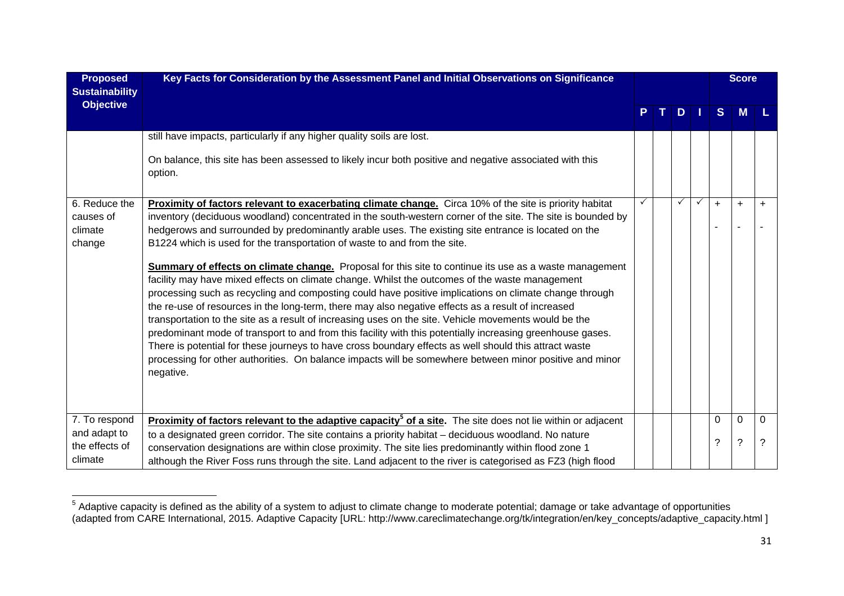| <b>Proposed</b><br><b>Sustainability</b> | Key Facts for Consideration by the Assessment Panel and Initial Observations on Significance                                                                                                                                                                                                                                                                                                                                                                                                                                                                                                                                                                                                                                                                                                                                                                                             |    |   |              |              | <b>Score</b> |           |
|------------------------------------------|------------------------------------------------------------------------------------------------------------------------------------------------------------------------------------------------------------------------------------------------------------------------------------------------------------------------------------------------------------------------------------------------------------------------------------------------------------------------------------------------------------------------------------------------------------------------------------------------------------------------------------------------------------------------------------------------------------------------------------------------------------------------------------------------------------------------------------------------------------------------------------------|----|---|--------------|--------------|--------------|-----------|
| <b>Objective</b>                         |                                                                                                                                                                                                                                                                                                                                                                                                                                                                                                                                                                                                                                                                                                                                                                                                                                                                                          | т. | D | ш            | <sub>S</sub> | M            |           |
|                                          | still have impacts, particularly if any higher quality soils are lost.<br>On balance, this site has been assessed to likely incur both positive and negative associated with this                                                                                                                                                                                                                                                                                                                                                                                                                                                                                                                                                                                                                                                                                                        |    |   |              |              |              |           |
|                                          | option.                                                                                                                                                                                                                                                                                                                                                                                                                                                                                                                                                                                                                                                                                                                                                                                                                                                                                  |    |   |              |              |              |           |
| 6. Reduce the                            | Proximity of factors relevant to exacerbating climate change. Circa 10% of the site is priority habitat                                                                                                                                                                                                                                                                                                                                                                                                                                                                                                                                                                                                                                                                                                                                                                                  |    |   | $\checkmark$ | $\ddot{}$    | $\ddot{}$    | $\ddot{}$ |
| causes of                                | inventory (deciduous woodland) concentrated in the south-western corner of the site. The site is bounded by                                                                                                                                                                                                                                                                                                                                                                                                                                                                                                                                                                                                                                                                                                                                                                              |    |   |              |              |              |           |
| climate                                  | hedgerows and surrounded by predominantly arable uses. The existing site entrance is located on the                                                                                                                                                                                                                                                                                                                                                                                                                                                                                                                                                                                                                                                                                                                                                                                      |    |   |              |              |              |           |
| change                                   | B1224 which is used for the transportation of waste to and from the site.                                                                                                                                                                                                                                                                                                                                                                                                                                                                                                                                                                                                                                                                                                                                                                                                                |    |   |              |              |              |           |
|                                          | <b>Summary of effects on climate change.</b> Proposal for this site to continue its use as a waste management<br>facility may have mixed effects on climate change. Whilst the outcomes of the waste management<br>processing such as recycling and composting could have positive implications on climate change through<br>the re-use of resources in the long-term, there may also negative effects as a result of increased<br>transportation to the site as a result of increasing uses on the site. Vehicle movements would be the<br>predominant mode of transport to and from this facility with this potentially increasing greenhouse gases.<br>There is potential for these journeys to have cross boundary effects as well should this attract waste<br>processing for other authorities. On balance impacts will be somewhere between minor positive and minor<br>negative. |    |   |              |              |              |           |
| 7. To respond                            | <b>Proximity of factors relevant to the adaptive capacity<sup>5</sup> of a site.</b> The site does not lie within or adjacent                                                                                                                                                                                                                                                                                                                                                                                                                                                                                                                                                                                                                                                                                                                                                            |    |   |              | 0            | 0            | 0         |
| and adapt to                             | to a designated green corridor. The site contains a priority habitat - deciduous woodland. No nature                                                                                                                                                                                                                                                                                                                                                                                                                                                                                                                                                                                                                                                                                                                                                                                     |    |   |              | ?            | $\tilde{?}$  | ?         |
| the effects of                           | conservation designations are within close proximity. The site lies predominantly within flood zone 1                                                                                                                                                                                                                                                                                                                                                                                                                                                                                                                                                                                                                                                                                                                                                                                    |    |   |              |              |              |           |
| climate                                  | although the River Foss runs through the site. Land adjacent to the river is categorised as FZ3 (high flood                                                                                                                                                                                                                                                                                                                                                                                                                                                                                                                                                                                                                                                                                                                                                                              |    |   |              |              |              |           |

 $5$  Adaptive capacity is defined as the ability of a system to adjust to climate change to moderate potential; damage or take advantage of opportunities (adapted from CARE International, 2015. Adaptive Capacity [URL: http://www.careclimatechange.org/tk/integration/en/key\_concepts/adaptive\_capacity.html ]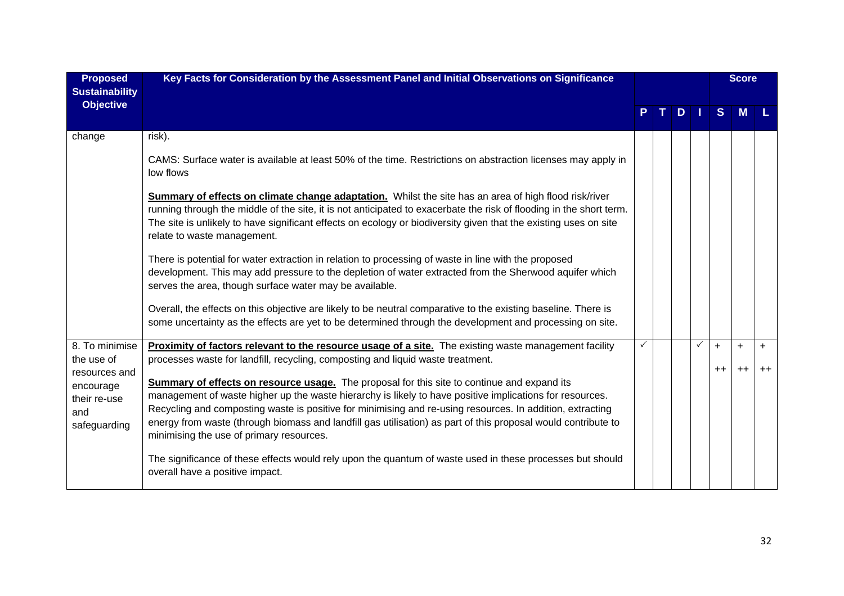| <b>Proposed</b><br><b>Sustainability</b>                                                          | Key Facts for Consideration by the Assessment Panel and Initial Observations on Significance                                                                                                                                                                                                                                                                                                                                                                                                                                                                                                                                                                                                                                                                                                                                                                                                                          |   |                |     |              |                   | <b>Score</b> |             |
|---------------------------------------------------------------------------------------------------|-----------------------------------------------------------------------------------------------------------------------------------------------------------------------------------------------------------------------------------------------------------------------------------------------------------------------------------------------------------------------------------------------------------------------------------------------------------------------------------------------------------------------------------------------------------------------------------------------------------------------------------------------------------------------------------------------------------------------------------------------------------------------------------------------------------------------------------------------------------------------------------------------------------------------|---|----------------|-----|--------------|-------------------|--------------|-------------|
| <b>Objective</b>                                                                                  |                                                                                                                                                                                                                                                                                                                                                                                                                                                                                                                                                                                                                                                                                                                                                                                                                                                                                                                       | P | T <sub>1</sub> | D I |              | S                 | M            |             |
| change                                                                                            | risk).<br>CAMS: Surface water is available at least 50% of the time. Restrictions on abstraction licenses may apply in<br>low flows<br>Summary of effects on climate change adaptation. Whilst the site has an area of high flood risk/river<br>running through the middle of the site, it is not anticipated to exacerbate the risk of flooding in the short term.<br>The site is unlikely to have significant effects on ecology or biodiversity given that the existing uses on site<br>relate to waste management.<br>There is potential for water extraction in relation to processing of waste in line with the proposed<br>development. This may add pressure to the depletion of water extracted from the Sherwood aquifer which<br>serves the area, though surface water may be available.<br>Overall, the effects on this objective are likely to be neutral comparative to the existing baseline. There is |   |                |     |              |                   |              |             |
|                                                                                                   | some uncertainty as the effects are yet to be determined through the development and processing on site.                                                                                                                                                                                                                                                                                                                                                                                                                                                                                                                                                                                                                                                                                                                                                                                                              |   |                |     |              |                   |              |             |
| 8. To minimise<br>the use of<br>resources and<br>encourage<br>their re-use<br>and<br>safeguarding | Proximity of factors relevant to the resource usage of a site. The existing waste management facility<br>processes waste for landfill, recycling, composting and liquid waste treatment.<br><b>Summary of effects on resource usage.</b> The proposal for this site to continue and expand its<br>management of waste higher up the waste hierarchy is likely to have positive implications for resources.<br>Recycling and composting waste is positive for minimising and re-using resources. In addition, extracting<br>energy from waste (through biomass and landfill gas utilisation) as part of this proposal would contribute to<br>minimising the use of primary resources.<br>The significance of these effects would rely upon the quantum of waste used in these processes but should<br>overall have a positive impact.                                                                                  |   |                |     | $\checkmark$ | $\ddot{}$<br>$++$ | $+$<br>$++$  | $+$<br>$++$ |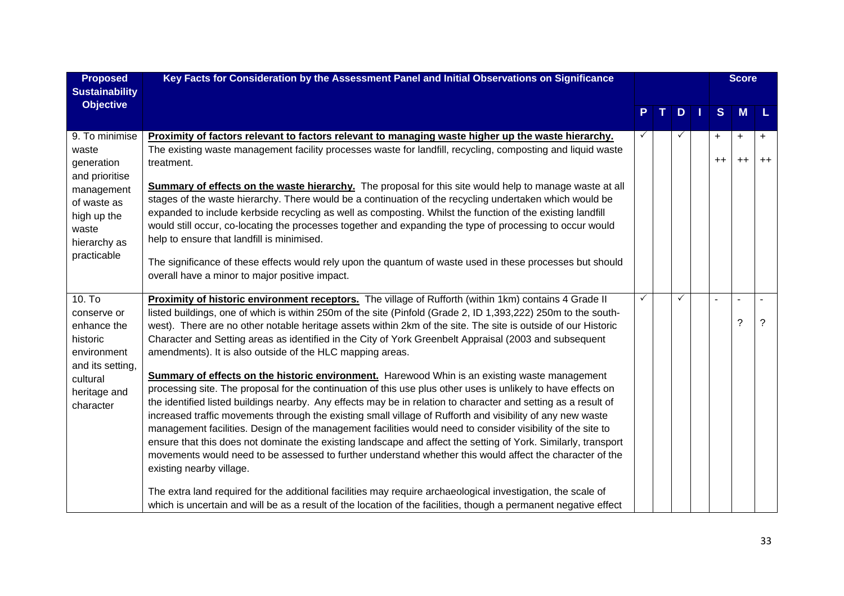| <b>Proposed</b>                                                                                                                             | Key Facts for Consideration by the Assessment Panel and Initial Observations on Significance                                                                                                                                                                                                                                                                                                                                                                                                                                                                                                                                                                                                                                                                                                                                                                                                                                                                                                                                                                                                                                                                                                                                                                                                                                                                                                                                                                                                                                                                                         |   |  |   |  |                | <b>Score</b>      |                   |
|---------------------------------------------------------------------------------------------------------------------------------------------|--------------------------------------------------------------------------------------------------------------------------------------------------------------------------------------------------------------------------------------------------------------------------------------------------------------------------------------------------------------------------------------------------------------------------------------------------------------------------------------------------------------------------------------------------------------------------------------------------------------------------------------------------------------------------------------------------------------------------------------------------------------------------------------------------------------------------------------------------------------------------------------------------------------------------------------------------------------------------------------------------------------------------------------------------------------------------------------------------------------------------------------------------------------------------------------------------------------------------------------------------------------------------------------------------------------------------------------------------------------------------------------------------------------------------------------------------------------------------------------------------------------------------------------------------------------------------------------|---|--|---|--|----------------|-------------------|-------------------|
| <b>Sustainability</b>                                                                                                                       |                                                                                                                                                                                                                                                                                                                                                                                                                                                                                                                                                                                                                                                                                                                                                                                                                                                                                                                                                                                                                                                                                                                                                                                                                                                                                                                                                                                                                                                                                                                                                                                      |   |  |   |  |                |                   |                   |
| <b>Objective</b>                                                                                                                            |                                                                                                                                                                                                                                                                                                                                                                                                                                                                                                                                                                                                                                                                                                                                                                                                                                                                                                                                                                                                                                                                                                                                                                                                                                                                                                                                                                                                                                                                                                                                                                                      |   |  | D |  | S.             | M                 | L                 |
| 9. To minimise<br>waste<br>generation<br>and prioritise<br>management<br>of waste as<br>high up the<br>waste<br>hierarchy as<br>practicable | Proximity of factors relevant to factors relevant to managing waste higher up the waste hierarchy.<br>The existing waste management facility processes waste for landfill, recycling, composting and liquid waste<br>treatment.<br>Summary of effects on the waste hierarchy. The proposal for this site would help to manage waste at all<br>stages of the waste hierarchy. There would be a continuation of the recycling undertaken which would be<br>expanded to include kerbside recycling as well as composting. Whilst the function of the existing landfill<br>would still occur, co-locating the processes together and expanding the type of processing to occur would<br>help to ensure that landfill is minimised.<br>The significance of these effects would rely upon the quantum of waste used in these processes but should<br>overall have a minor to major positive impact.                                                                                                                                                                                                                                                                                                                                                                                                                                                                                                                                                                                                                                                                                        |   |  |   |  | $+$<br>$^{++}$ | $\ddot{}$<br>$++$ | $\ddot{}$<br>$++$ |
| 10. T <sub>o</sub><br>conserve or<br>enhance the<br>historic<br>environment<br>and its setting,<br>cultural<br>heritage and<br>character    | Proximity of historic environment receptors. The village of Rufforth (within 1km) contains 4 Grade II<br>listed buildings, one of which is within 250m of the site (Pinfold (Grade 2, ID 1,393,222) 250m to the south-<br>west). There are no other notable heritage assets within 2km of the site. The site is outside of our Historic<br>Character and Setting areas as identified in the City of York Greenbelt Appraisal (2003 and subsequent<br>amendments). It is also outside of the HLC mapping areas.<br><b>Summary of effects on the historic environment.</b> Harewood Whin is an existing waste management<br>processing site. The proposal for the continuation of this use plus other uses is unlikely to have effects on<br>the identified listed buildings nearby. Any effects may be in relation to character and setting as a result of<br>increased traffic movements through the existing small village of Rufforth and visibility of any new waste<br>management facilities. Design of the management facilities would need to consider visibility of the site to<br>ensure that this does not dominate the existing landscape and affect the setting of York. Similarly, transport<br>movements would need to be assessed to further understand whether this would affect the character of the<br>existing nearby village.<br>The extra land required for the additional facilities may require archaeological investigation, the scale of<br>which is uncertain and will be as a result of the location of the facilities, though a permanent negative effect | ✓ |  |   |  |                | ?                 | ?                 |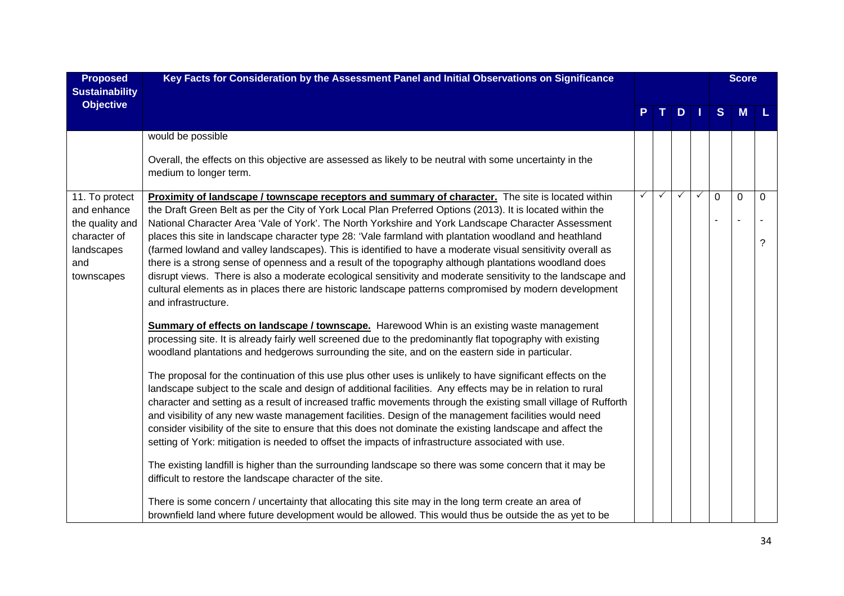| <b>Proposed</b><br><b>Sustainability</b>                                                            | Key Facts for Consideration by the Assessment Panel and Initial Observations on Significance                                                                                                                                                                                                                                                                                                                                                                                                                                                                                                                                                                                                                                                                                                                                                                                                                                                                                                                                                                                                                                                                                                                                                                                                                                                                                                                                                                                                                                                                                                                                                                                                                                                                                                                                                                                                                                                                                                                                                                                                                                                                                                                                                                                                              |              |   |   | <b>Score</b> |             |             |                  |
|-----------------------------------------------------------------------------------------------------|-----------------------------------------------------------------------------------------------------------------------------------------------------------------------------------------------------------------------------------------------------------------------------------------------------------------------------------------------------------------------------------------------------------------------------------------------------------------------------------------------------------------------------------------------------------------------------------------------------------------------------------------------------------------------------------------------------------------------------------------------------------------------------------------------------------------------------------------------------------------------------------------------------------------------------------------------------------------------------------------------------------------------------------------------------------------------------------------------------------------------------------------------------------------------------------------------------------------------------------------------------------------------------------------------------------------------------------------------------------------------------------------------------------------------------------------------------------------------------------------------------------------------------------------------------------------------------------------------------------------------------------------------------------------------------------------------------------------------------------------------------------------------------------------------------------------------------------------------------------------------------------------------------------------------------------------------------------------------------------------------------------------------------------------------------------------------------------------------------------------------------------------------------------------------------------------------------------------------------------------------------------------------------------------------------------|--------------|---|---|--------------|-------------|-------------|------------------|
| <b>Objective</b>                                                                                    |                                                                                                                                                                                                                                                                                                                                                                                                                                                                                                                                                                                                                                                                                                                                                                                                                                                                                                                                                                                                                                                                                                                                                                                                                                                                                                                                                                                                                                                                                                                                                                                                                                                                                                                                                                                                                                                                                                                                                                                                                                                                                                                                                                                                                                                                                                           |              |   | D | - 1          | S           | M           |                  |
|                                                                                                     | would be possible                                                                                                                                                                                                                                                                                                                                                                                                                                                                                                                                                                                                                                                                                                                                                                                                                                                                                                                                                                                                                                                                                                                                                                                                                                                                                                                                                                                                                                                                                                                                                                                                                                                                                                                                                                                                                                                                                                                                                                                                                                                                                                                                                                                                                                                                                         |              |   |   |              |             |             |                  |
|                                                                                                     | Overall, the effects on this objective are assessed as likely to be neutral with some uncertainty in the<br>medium to longer term.                                                                                                                                                                                                                                                                                                                                                                                                                                                                                                                                                                                                                                                                                                                                                                                                                                                                                                                                                                                                                                                                                                                                                                                                                                                                                                                                                                                                                                                                                                                                                                                                                                                                                                                                                                                                                                                                                                                                                                                                                                                                                                                                                                        |              |   |   |              |             |             |                  |
| 11. To protect<br>and enhance<br>the quality and<br>character of<br>landscapes<br>and<br>townscapes | Proximity of landscape / townscape receptors and summary of character. The site is located within<br>the Draft Green Belt as per the City of York Local Plan Preferred Options (2013). It is located within the<br>National Character Area 'Vale of York'. The North Yorkshire and York Landscape Character Assessment<br>places this site in landscape character type 28: 'Vale farmland with plantation woodland and heathland<br>(farmed lowland and valley landscapes). This is identified to have a moderate visual sensitivity overall as<br>there is a strong sense of openness and a result of the topography although plantations woodland does<br>disrupt views. There is also a moderate ecological sensitivity and moderate sensitivity to the landscape and<br>cultural elements as in places there are historic landscape patterns compromised by modern development<br>and infrastructure.<br><b>Summary of effects on landscape / townscape.</b> Harewood Whin is an existing waste management<br>processing site. It is already fairly well screened due to the predominantly flat topography with existing<br>woodland plantations and hedgerows surrounding the site, and on the eastern side in particular.<br>The proposal for the continuation of this use plus other uses is unlikely to have significant effects on the<br>landscape subject to the scale and design of additional facilities. Any effects may be in relation to rural<br>character and setting as a result of increased traffic movements through the existing small village of Rufforth<br>and visibility of any new waste management facilities. Design of the management facilities would need<br>consider visibility of the site to ensure that this does not dominate the existing landscape and affect the<br>setting of York: mitigation is needed to offset the impacts of infrastructure associated with use.<br>The existing landfill is higher than the surrounding landscape so there was some concern that it may be<br>difficult to restore the landscape character of the site.<br>There is some concern / uncertainty that allocating this site may in the long term create an area of<br>brownfield land where future development would be allowed. This would thus be outside the as yet to be | $\checkmark$ | ✓ | ✓ | $\checkmark$ | $\mathbf 0$ | $\mathbf 0$ | $\mathbf 0$<br>? |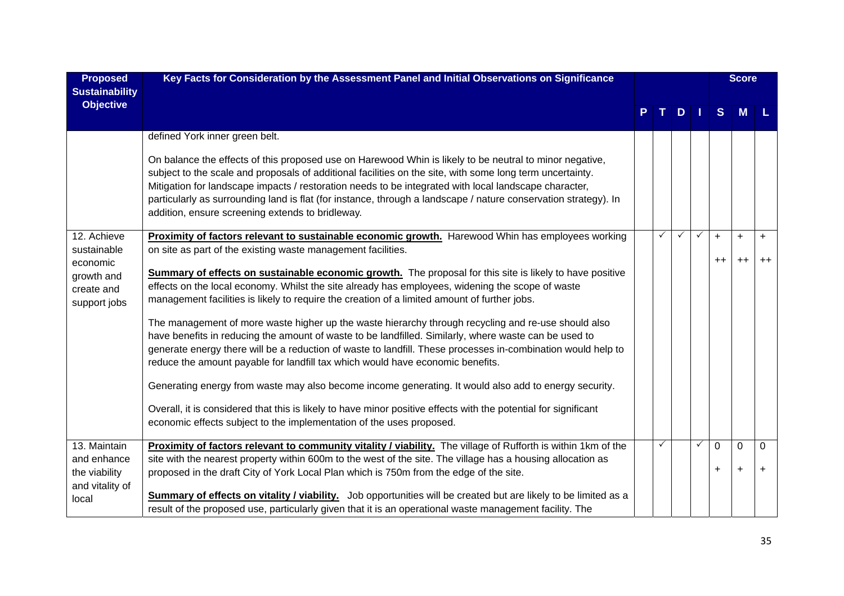| <b>Proposed</b><br><b>Sustainability</b>             | Key Facts for Consideration by the Assessment Panel and Initial Observations on Significance                                                                                                                                                                                                                                                                                                                                                                                                         |  |  |     |              | <b>Score</b> |           |           |
|------------------------------------------------------|------------------------------------------------------------------------------------------------------------------------------------------------------------------------------------------------------------------------------------------------------------------------------------------------------------------------------------------------------------------------------------------------------------------------------------------------------------------------------------------------------|--|--|-----|--------------|--------------|-----------|-----------|
| <b>Objective</b>                                     |                                                                                                                                                                                                                                                                                                                                                                                                                                                                                                      |  |  | $D$ |              | S            | M         |           |
|                                                      | defined York inner green belt.                                                                                                                                                                                                                                                                                                                                                                                                                                                                       |  |  |     |              |              |           |           |
|                                                      | On balance the effects of this proposed use on Harewood Whin is likely to be neutral to minor negative,<br>subject to the scale and proposals of additional facilities on the site, with some long term uncertainty.<br>Mitigation for landscape impacts / restoration needs to be integrated with local landscape character,<br>particularly as surrounding land is flat (for instance, through a landscape / nature conservation strategy). In<br>addition, ensure screening extends to bridleway. |  |  |     |              |              |           |           |
| 12. Achieve<br>sustainable                           | Proximity of factors relevant to sustainable economic growth. Harewood Whin has employees working<br>on site as part of the existing waste management facilities.                                                                                                                                                                                                                                                                                                                                    |  |  |     |              | $+$          | $\ddot{}$ | $\ddot{}$ |
| economic<br>growth and<br>create and<br>support jobs | <b>Summary of effects on sustainable economic growth.</b> The proposal for this site is likely to have positive<br>effects on the local economy. Whilst the site already has employees, widening the scope of waste<br>management facilities is likely to require the creation of a limited amount of further jobs.                                                                                                                                                                                  |  |  |     |              | $++$         | $++$      | $++$      |
|                                                      | The management of more waste higher up the waste hierarchy through recycling and re-use should also<br>have benefits in reducing the amount of waste to be landfilled. Similarly, where waste can be used to<br>generate energy there will be a reduction of waste to landfill. These processes in-combination would help to<br>reduce the amount payable for landfill tax which would have economic benefits.                                                                                       |  |  |     |              |              |           |           |
|                                                      | Generating energy from waste may also become income generating. It would also add to energy security.                                                                                                                                                                                                                                                                                                                                                                                                |  |  |     |              |              |           |           |
|                                                      | Overall, it is considered that this is likely to have minor positive effects with the potential for significant<br>economic effects subject to the implementation of the uses proposed.                                                                                                                                                                                                                                                                                                              |  |  |     |              |              |           |           |
| 13. Maintain                                         | Proximity of factors relevant to community vitality / viability. The village of Rufforth is within 1km of the                                                                                                                                                                                                                                                                                                                                                                                        |  |  |     | $\checkmark$ | 0            | 0         | 0         |
| and enhance<br>the viability<br>and vitality of      | site with the nearest property within 600m to the west of the site. The village has a housing allocation as<br>proposed in the draft City of York Local Plan which is 750m from the edge of the site.                                                                                                                                                                                                                                                                                                |  |  |     |              | $+$          | $+$       | $+$       |
| local                                                | Summary of effects on vitality / viability. Job opportunities will be created but are likely to be limited as a<br>result of the proposed use, particularly given that it is an operational waste management facility. The                                                                                                                                                                                                                                                                           |  |  |     |              |              |           |           |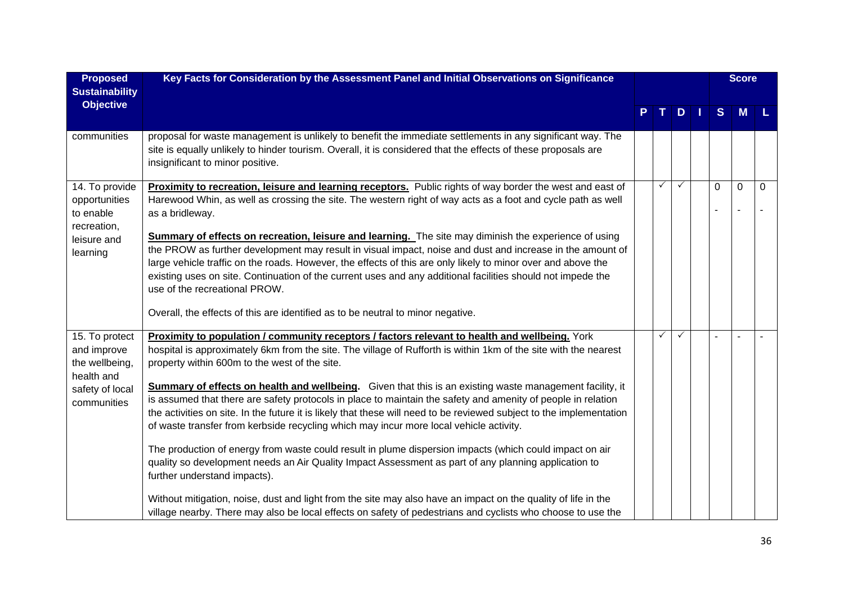| <b>Proposed</b>               | Key Facts for Consideration by the Assessment Panel and Initial Observations on Significance                                                                                                                                                                    |  |              |              | <b>Score</b> |          |             |          |
|-------------------------------|-----------------------------------------------------------------------------------------------------------------------------------------------------------------------------------------------------------------------------------------------------------------|--|--------------|--------------|--------------|----------|-------------|----------|
| <b>Sustainability</b>         |                                                                                                                                                                                                                                                                 |  |              |              |              |          |             |          |
| <b>Objective</b>              |                                                                                                                                                                                                                                                                 |  |              | D            |              | S        | <b>M</b>    |          |
|                               |                                                                                                                                                                                                                                                                 |  |              |              |              |          |             |          |
| communities                   | proposal for waste management is unlikely to benefit the immediate settlements in any significant way. The<br>site is equally unlikely to hinder tourism. Overall, it is considered that the effects of these proposals are<br>insignificant to minor positive. |  |              |              |              |          |             |          |
| 14. To provide                | Proximity to recreation, leisure and learning receptors. Public rights of way border the west and east of                                                                                                                                                       |  | $\checkmark$ | $\checkmark$ |              | $\Omega$ | $\mathbf 0$ | $\Omega$ |
| opportunities<br>to enable    | Harewood Whin, as well as crossing the site. The western right of way acts as a foot and cycle path as well<br>as a bridleway.                                                                                                                                  |  |              |              |              |          |             |          |
| recreation,<br>leisure and    | <b>Summary of effects on recreation, leisure and learning.</b> The site may diminish the experience of using                                                                                                                                                    |  |              |              |              |          |             |          |
| learning                      | the PROW as further development may result in visual impact, noise and dust and increase in the amount of                                                                                                                                                       |  |              |              |              |          |             |          |
|                               | large vehicle traffic on the roads. However, the effects of this are only likely to minor over and above the<br>existing uses on site. Continuation of the current uses and any additional facilities should not impede the                                     |  |              |              |              |          |             |          |
|                               | use of the recreational PROW.                                                                                                                                                                                                                                   |  |              |              |              |          |             |          |
|                               | Overall, the effects of this are identified as to be neutral to minor negative.                                                                                                                                                                                 |  |              |              |              |          |             |          |
| 15. To protect                | Proximity to population / community receptors / factors relevant to health and wellbeing. York                                                                                                                                                                  |  | ✓            | $\checkmark$ |              |          |             |          |
| and improve                   | hospital is approximately 6km from the site. The village of Rufforth is within 1km of the site with the nearest                                                                                                                                                 |  |              |              |              |          |             |          |
| the wellbeing,                | property within 600m to the west of the site.                                                                                                                                                                                                                   |  |              |              |              |          |             |          |
| health and<br>safety of local | <b>Summary of effects on health and wellbeing.</b> Given that this is an existing waste management facility, it                                                                                                                                                 |  |              |              |              |          |             |          |
| communities                   | is assumed that there are safety protocols in place to maintain the safety and amenity of people in relation                                                                                                                                                    |  |              |              |              |          |             |          |
|                               | the activities on site. In the future it is likely that these will need to be reviewed subject to the implementation                                                                                                                                            |  |              |              |              |          |             |          |
|                               | of waste transfer from kerbside recycling which may incur more local vehicle activity.                                                                                                                                                                          |  |              |              |              |          |             |          |
|                               | The production of energy from waste could result in plume dispersion impacts (which could impact on air                                                                                                                                                         |  |              |              |              |          |             |          |
|                               | quality so development needs an Air Quality Impact Assessment as part of any planning application to                                                                                                                                                            |  |              |              |              |          |             |          |
|                               | further understand impacts).                                                                                                                                                                                                                                    |  |              |              |              |          |             |          |
|                               | Without mitigation, noise, dust and light from the site may also have an impact on the quality of life in the                                                                                                                                                   |  |              |              |              |          |             |          |
|                               | village nearby. There may also be local effects on safety of pedestrians and cyclists who choose to use the                                                                                                                                                     |  |              |              |              |          |             |          |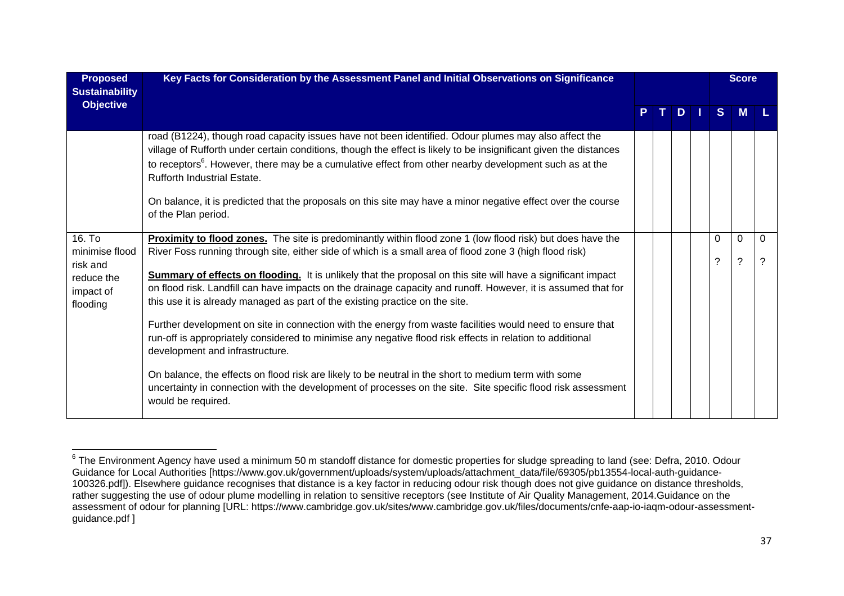| <b>Proposed</b><br><b>Sustainability</b>                                    | Key Facts for Consideration by the Assessment Panel and Initial Observations on Significance                                                                                                                                                                                                                                                                                                                                                                                                                                                                                                                                                                                                                                                                                                                                                                                                                                                                                                                                                             |  |  |      |  |               |        | <b>Score</b>  |  |
|-----------------------------------------------------------------------------|----------------------------------------------------------------------------------------------------------------------------------------------------------------------------------------------------------------------------------------------------------------------------------------------------------------------------------------------------------------------------------------------------------------------------------------------------------------------------------------------------------------------------------------------------------------------------------------------------------------------------------------------------------------------------------------------------------------------------------------------------------------------------------------------------------------------------------------------------------------------------------------------------------------------------------------------------------------------------------------------------------------------------------------------------------|--|--|------|--|---------------|--------|---------------|--|
| <b>Objective</b>                                                            |                                                                                                                                                                                                                                                                                                                                                                                                                                                                                                                                                                                                                                                                                                                                                                                                                                                                                                                                                                                                                                                          |  |  | PTDT |  | S.            | M      |               |  |
|                                                                             | road (B1224), though road capacity issues have not been identified. Odour plumes may also affect the<br>village of Rufforth under certain conditions, though the effect is likely to be insignificant given the distances<br>to receptors <sup>6</sup> . However, there may be a cumulative effect from other nearby development such as at the<br><b>Rufforth Industrial Estate.</b><br>On balance, it is predicted that the proposals on this site may have a minor negative effect over the course<br>of the Plan period.                                                                                                                                                                                                                                                                                                                                                                                                                                                                                                                             |  |  |      |  |               |        |               |  |
| 16. To<br>minimise flood<br>risk and<br>reduce the<br>impact of<br>flooding | <b>Proximity to flood zones.</b> The site is predominantly within flood zone 1 (low flood risk) but does have the<br>River Foss running through site, either side of which is a small area of flood zone 3 (high flood risk)<br>Summary of effects on flooding. It is unlikely that the proposal on this site will have a significant impact<br>on flood risk. Landfill can have impacts on the drainage capacity and runoff. However, it is assumed that for<br>this use it is already managed as part of the existing practice on the site.<br>Further development on site in connection with the energy from waste facilities would need to ensure that<br>run-off is appropriately considered to minimise any negative flood risk effects in relation to additional<br>development and infrastructure.<br>On balance, the effects on flood risk are likely to be neutral in the short to medium term with some<br>uncertainty in connection with the development of processes on the site. Site specific flood risk assessment<br>would be required. |  |  |      |  | $\Omega$<br>? | 0<br>? | $\Omega$<br>? |  |

<sup>&</sup>lt;sup>6</sup> The Environment Agency have used a minimum 50 m standoff distance for domestic properties for sludge spreading to land (see: Defra, 2010. Odour Guidance for Local Authorities [https://www.gov.uk/government/uploads/system/uploads/attachment\_data/file/69305/pb13554-local-auth-guidance-100326.pdf]). Elsewhere guidance recognises that distance is a key factor in reducing odour risk though does not give guidance on distance thresholds, rather suggesting the use of odour plume modelling in relation to sensitive receptors (see Institute of Air Quality Management, 2014.Guidance on the assessment of odour for planning [URL: https://www.cambridge.gov.uk/sites/www.cambridge.gov.uk/files/documents/cnfe-aap-io-iaqm-odour-assessmentguidance.pdf ]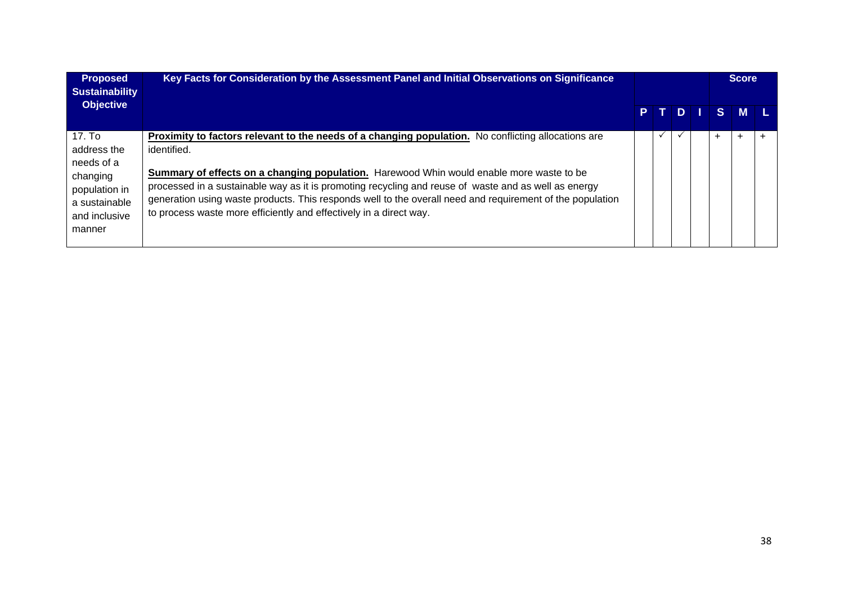| <b>Proposed</b><br><b>Sustainability</b>                                                                     | Key Facts for Consideration by the Assessment Panel and Initial Observations on Significance                                                                                                                                                                                                                                                                                                                                                                                                              |  |            | <b>Score</b> |           |   |  |  |
|--------------------------------------------------------------------------------------------------------------|-----------------------------------------------------------------------------------------------------------------------------------------------------------------------------------------------------------------------------------------------------------------------------------------------------------------------------------------------------------------------------------------------------------------------------------------------------------------------------------------------------------|--|------------|--------------|-----------|---|--|--|
| <b>Objective</b>                                                                                             |                                                                                                                                                                                                                                                                                                                                                                                                                                                                                                           |  |            |              | PTDISM    |   |  |  |
| 17. To<br>address the<br>needs of a<br>changing<br>population in<br>a sustainable<br>and inclusive<br>manner | Proximity to factors relevant to the needs of a changing population. No conflicting allocations are<br>identified.<br>Summary of effects on a changing population. Harewood Whin would enable more waste to be<br>processed in a sustainable way as it is promoting recycling and reuse of waste and as well as energy<br>generation using waste products. This responds well to the overall need and requirement of the population<br>to process waste more efficiently and effectively in a direct way. |  | $\check{}$ |              | $\ddot{}$ | ÷ |  |  |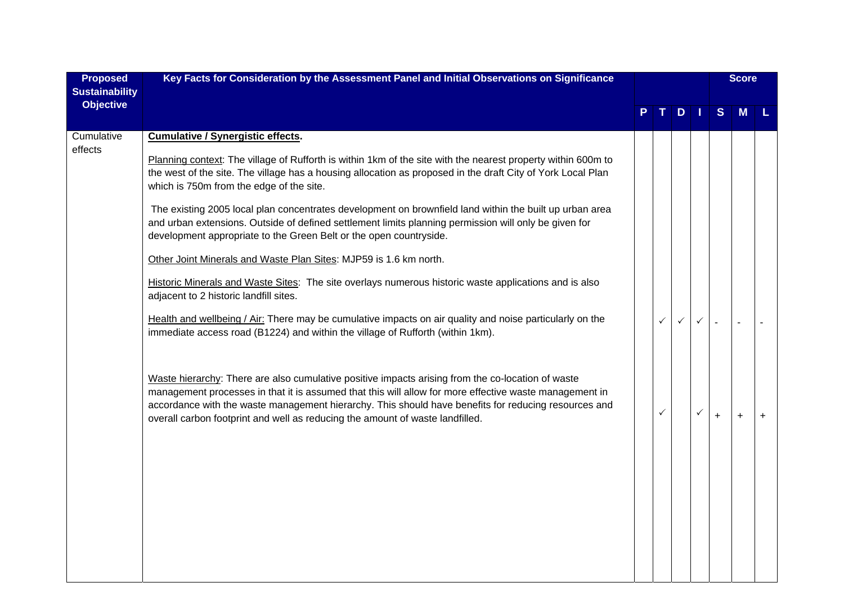| <b>Proposed</b><br><b>Sustainability</b> | Key Facts for Consideration by the Assessment Panel and Initial Observations on Significance                                                                                                                                                                                                                                                                                                         |  |              |              | <b>Score</b> |           |   |           |
|------------------------------------------|------------------------------------------------------------------------------------------------------------------------------------------------------------------------------------------------------------------------------------------------------------------------------------------------------------------------------------------------------------------------------------------------------|--|--------------|--------------|--------------|-----------|---|-----------|
| <b>Objective</b>                         |                                                                                                                                                                                                                                                                                                                                                                                                      |  |              | D            | П            | S         | M |           |
| Cumulative<br>effects                    | <b>Cumulative / Synergistic effects.</b>                                                                                                                                                                                                                                                                                                                                                             |  |              |              |              |           |   |           |
|                                          | Planning context: The village of Rufforth is within 1km of the site with the nearest property within 600m to<br>the west of the site. The village has a housing allocation as proposed in the draft City of York Local Plan<br>which is 750m from the edge of the site.                                                                                                                              |  |              |              |              |           |   |           |
|                                          | The existing 2005 local plan concentrates development on brownfield land within the built up urban area<br>and urban extensions. Outside of defined settlement limits planning permission will only be given for<br>development appropriate to the Green Belt or the open countryside.                                                                                                               |  |              |              |              |           |   |           |
|                                          | Other Joint Minerals and Waste Plan Sites: MJP59 is 1.6 km north.                                                                                                                                                                                                                                                                                                                                    |  |              |              |              |           |   |           |
|                                          | Historic Minerals and Waste Sites: The site overlays numerous historic waste applications and is also<br>adjacent to 2 historic landfill sites.                                                                                                                                                                                                                                                      |  |              |              |              |           |   |           |
|                                          | Health and wellbeing / Air: There may be cumulative impacts on air quality and noise particularly on the<br>immediate access road (B1224) and within the village of Rufforth (within 1km).                                                                                                                                                                                                           |  | $\checkmark$ | $\checkmark$ | $\checkmark$ |           |   |           |
|                                          | Waste hierarchy: There are also cumulative positive impacts arising from the co-location of waste<br>management processes in that it is assumed that this will allow for more effective waste management in<br>accordance with the waste management hierarchy. This should have benefits for reducing resources and<br>overall carbon footprint and well as reducing the amount of waste landfilled. |  | ✓            |              | $\checkmark$ | $\ddot{}$ | + | $\ddot{}$ |
|                                          |                                                                                                                                                                                                                                                                                                                                                                                                      |  |              |              |              |           |   |           |
|                                          |                                                                                                                                                                                                                                                                                                                                                                                                      |  |              |              |              |           |   |           |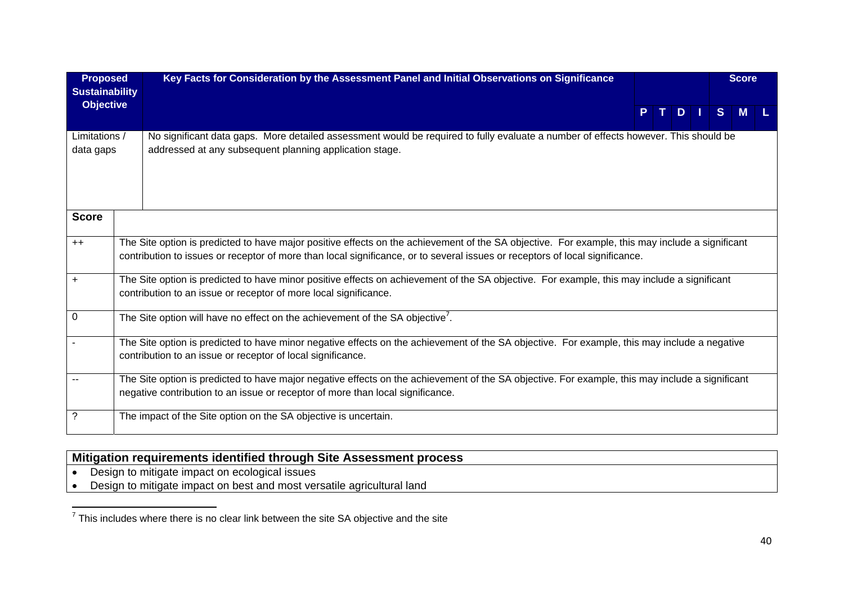| <b>Proposed</b>                           |                                                                                                                                                                                                             | Key Facts for Consideration by the Assessment Panel and Initial Observations on Significance                                                                                                                                                                                    |                                                                                                                                                 |  |  |  |    | <b>Score</b> |  |  |
|-------------------------------------------|-------------------------------------------------------------------------------------------------------------------------------------------------------------------------------------------------------------|---------------------------------------------------------------------------------------------------------------------------------------------------------------------------------------------------------------------------------------------------------------------------------|-------------------------------------------------------------------------------------------------------------------------------------------------|--|--|--|----|--------------|--|--|
| <b>Sustainability</b><br><b>Objective</b> |                                                                                                                                                                                                             |                                                                                                                                                                                                                                                                                 | D.                                                                                                                                              |  |  |  | S. |              |  |  |
| Limitations /<br>data gaps                |                                                                                                                                                                                                             | No significant data gaps. More detailed assessment would be required to fully evaluate a number of effects however. This should be<br>addressed at any subsequent planning application stage.                                                                                   |                                                                                                                                                 |  |  |  |    |              |  |  |
| <b>Score</b>                              |                                                                                                                                                                                                             |                                                                                                                                                                                                                                                                                 |                                                                                                                                                 |  |  |  |    |              |  |  |
| $++$                                      |                                                                                                                                                                                                             | The Site option is predicted to have major positive effects on the achievement of the SA objective. For example, this may include a significant<br>contribution to issues or receptor of more than local significance, or to several issues or receptors of local significance. |                                                                                                                                                 |  |  |  |    |              |  |  |
| $\ddot{}$                                 |                                                                                                                                                                                                             | The Site option is predicted to have minor positive effects on achievement of the SA objective. For example, this may include a significant<br>contribution to an issue or receptor of more local significance.                                                                 |                                                                                                                                                 |  |  |  |    |              |  |  |
| $\boldsymbol{0}$                          |                                                                                                                                                                                                             | The Site option will have no effect on the achievement of the SA objective'.                                                                                                                                                                                                    |                                                                                                                                                 |  |  |  |    |              |  |  |
|                                           | The Site option is predicted to have minor negative effects on the achievement of the SA objective. For example, this may include a negative<br>contribution to an issue or receptor of local significance. |                                                                                                                                                                                                                                                                                 |                                                                                                                                                 |  |  |  |    |              |  |  |
|                                           |                                                                                                                                                                                                             | negative contribution to an issue or receptor of more than local significance.                                                                                                                                                                                                  | The Site option is predicted to have major negative effects on the achievement of the SA objective. For example, this may include a significant |  |  |  |    |              |  |  |
| ?                                         |                                                                                                                                                                                                             | The impact of the Site option on the SA objective is uncertain.                                                                                                                                                                                                                 |                                                                                                                                                 |  |  |  |    |              |  |  |

# **Mitigation requirements identified through Site Assessment process** • Design to mitigate impact on ecological issues • Design to mitigate impact on best and most versatile agricultural land

 $<sup>7</sup>$  This includes where there is no clear link between the site SA objective and the site</sup>